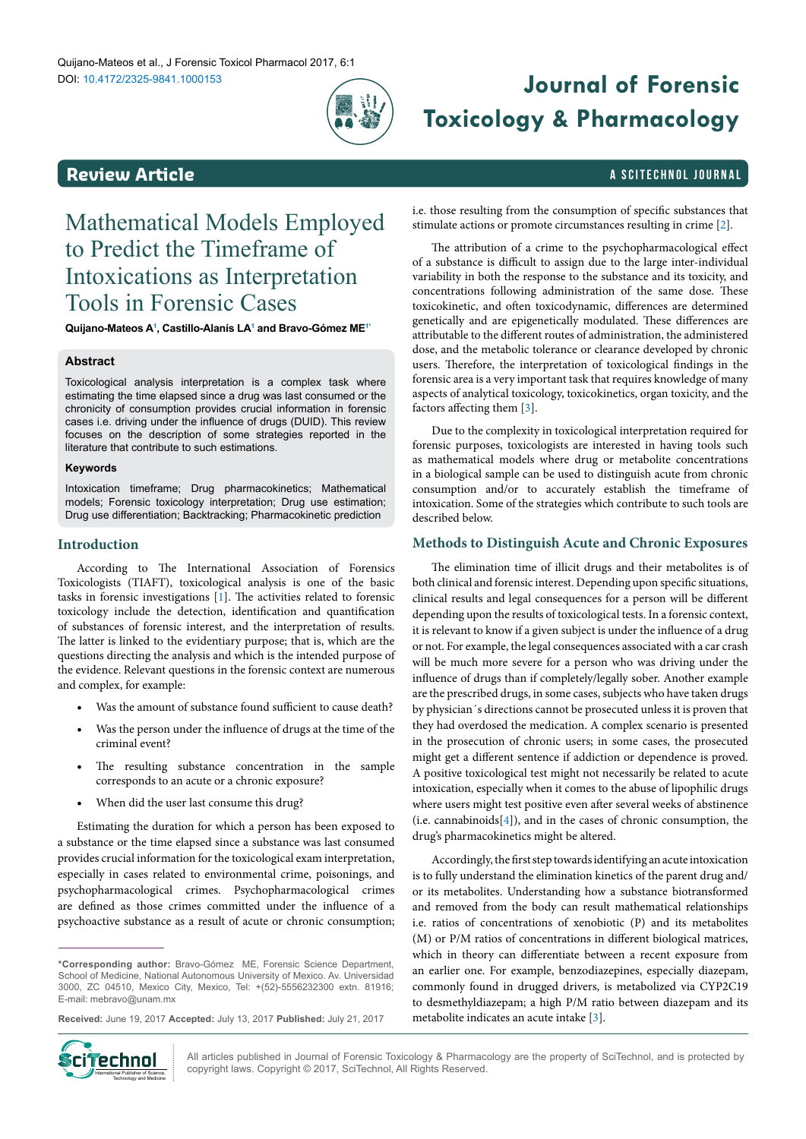

# DOI: 10.4172/2325-9841.1000153 **Journal of Forensic Toxicology & Pharmacology**

# <span id="page-0-1"></span>**Review Article a Scitterion Control in the Scitterion Control in the Scitterion A Scittering Library A Scittering Library A Scittering Library A Scittering Library A Scittering Library A Scittering Library A Scittering**

# Mathematical Models Employed to Predict the Timeframe of Intoxications as Interpretation Tools in Forensic Cases

**Quijano-Mateos [A1](#page-8-0) , Castillo-Alanís LA[1](#page-8-0) and Bravo-Gómez M[E1](#page-8-0)[\\*](#page-0-0)**

# **Abstract**

Toxicological analysis interpretation is a complex task where estimating the time elapsed since a drug was last consumed or the chronicity of consumption provides crucial information in forensic cases i.e. driving under the influence of drugs (DUID). This review focuses on the description of some strategies reported in the literature that contribute to such estimations.

# **Keywords**

Intoxication timeframe; Drug pharmacokinetics; Mathematical models; Forensic toxicology interpretation; Drug use estimation; Drug use differentiation; Backtracking; Pharmacokinetic prediction

# **Introduction**

According to The International Association of Forensics Toxicologists (TIAFT), toxicological analysis is one of the basic tasks in forensic investigations [\[1](#page-6-3)]. The activities related to forensic toxicology include the detection, identification and quantification of substances of forensic interest, and the interpretation of results. The latter is linked to the evidentiary purpose; that is, which are the questions directing the analysis and which is the intended purpose of the evidence. Relevant questions in the forensic context are numerous and complex, for example:

- • Was the amount of substance found sufficient to cause death?
- Was the person under the influence of drugs at the time of the criminal event?
- The resulting substance concentration in the sample corresponds to an acute or a chronic exposure?
- When did the user last consume this drug?

Estimating the duration for which a person has been exposed to a substance or the time elapsed since a substance was last consumed provides crucial information for the toxicological exam interpretation, especially in cases related to environmental crime, poisonings, and psychopharmacological crimes. Psychopharmacological crimes are defined as those crimes committed under the influence of a psychoactive substance as a result of acute or chronic consumption;

**Received:** June 19, 2017 **Accepted:** July 13, 2017 **Published:** July 21, 2017



All articles published in Journal of Forensic Toxicology & Pharmacology are the property of SciTechnol, and is protected by **Ciffed and Communistrat Science.** All articles published in Journal of Forensic Toxicology & Pharmace (Copyright laws. Copyright © 2017, SciTechnol, All Rights Reserved.

i.e. those resulting from the consumption of specific substances that stimulate actions or promote circumstances resulting in crime [\[2\]](#page-6-0).

The attribution of a crime to the psychopharmacological effect of a substance is difficult to assign due to the large inter-individual variability in both the response to the substance and its toxicity, and concentrations following administration of the same dose. These toxicokinetic, and often toxicodynamic, differences are determined genetically and are epigenetically modulated. These differences are attributable to the different routes of administration, the administered dose, and the metabolic tolerance or clearance developed by chronic users. Therefore, the interpretation of toxicological findings in the forensic area is a very important task that requires knowledge of many aspects of analytical toxicology, toxicokinetics, organ toxicity, and the factors affecting them [[3](#page-6-1)].

Due to the complexity in toxicological interpretation required for forensic purposes, toxicologists are interested in having tools such as mathematical models where drug or metabolite concentrations in a biological sample can be used to distinguish acute from chronic consumption and/or to accurately establish the timeframe of intoxication. Some of the strategies which contribute to such tools are described below.

# **Methods to Distinguish Acute and Chronic Exposures**

The elimination time of illicit drugs and their metabolites is of both clinical and forensic interest. Depending upon specific situations, clinical results and legal consequences for a person will be different depending upon the results of toxicological tests. In a forensic context, it is relevant to know if a given subject is under the influence of a drug or not. For example, the legal consequences associated with a car crash will be much more severe for a person who was driving under the influence of drugs than if completely/legally sober. Another example are the prescribed drugs, in some cases, subjects who have taken drugs by physician´s directions cannot be prosecuted unless it is proven that they had overdosed the medication. A complex scenario is presented in the prosecution of chronic users; in some cases, the prosecuted might get a different sentence if addiction or dependence is proved. A positive toxicological test might not necessarily be related to acute intoxication, especially when it comes to the abuse of lipophilic drugs where users might test positive even after several weeks of abstinence (i.e. cannabinoids[\[4](#page-6-2)]), and in the cases of chronic consumption, the drug's pharmacokinetics might be altered.

Accordingly, the first step towards identifying an acute intoxication is to fully understand the elimination kinetics of the parent drug and/ or its metabolites. Understanding how a substance biotransformed and removed from the body can result mathematical relationships i.e. ratios of concentrations of xenobiotic (P) and its metabolites (M) or P/M ratios of concentrations in different biological matrices, which in theory can differentiate between a recent exposure from an earlier one. For example, benzodiazepines, especially diazepam, commonly found in drugged drivers, is metabolized via CYP2C19 to desmethyldiazepam; a high P/M ratio between diazepam and its metabolite indicates an acute intake [\[3](#page-6-1)].

<span id="page-0-0"></span>**<sup>\*</sup>Corresponding author:** Bravo-Gómez ME, Forensic Science Department, School of Medicine, National Autonomous University of Mexico. Av. Universidad 3000, ZC 04510, Mexico City, Mexico, Tel: +(52)-5556232300 extn. 81916; E-mail: mebravo@unam.mx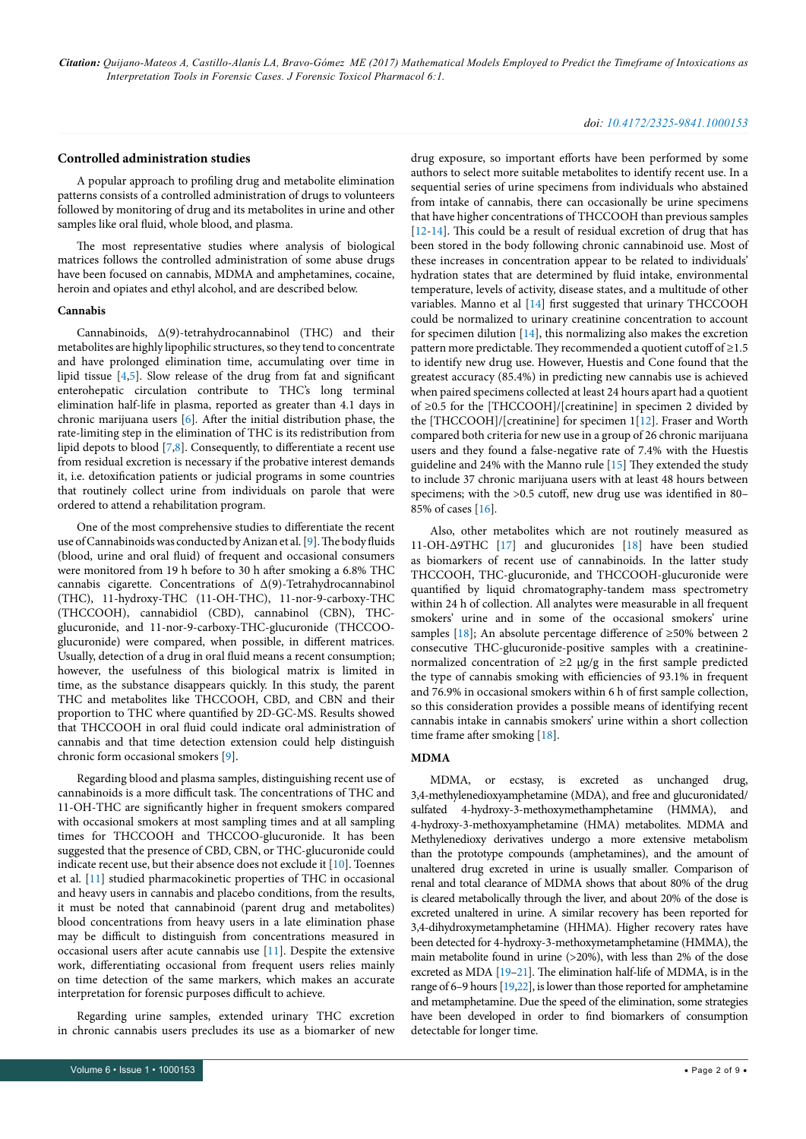# *doi: 10.4172/2325-9841.1000153*

# **Controlled administration studies**

A popular approach to profiling drug and metabolite elimination patterns consists of a controlled administration of drugs to volunteers followed by monitoring of drug and its metabolites in urine and other samples like oral fluid, whole blood, and plasma.

The most representative studies where analysis of biological matrices follows the controlled administration of some abuse drugs have been focused on cannabis, MDMA and amphetamines, cocaine, heroin and opiates and ethyl alcohol, and are described below.

#### **Cannabis**

Cannabinoids, ∆(9)-tetrahydrocannabinol (THC) and their metabolites are highly lipophilic structures, so they tend to concentrate and have prolonged elimination time, accumulating over time in lipid tissue [\[4,](#page-6-2)[5\]](#page-6-4). Slow release of the drug from fat and significant enterohepatic circulation contribute to THC's long terminal elimination half-life in plasma, reported as greater than 4.1 days in chronic marijuana users [[6](#page-6-5)]*.* After the initial distribution phase, the rate-limiting step in the elimination of THC is its redistribution from lipid depots to blood [[7](#page-6-6)[,8\]](#page-6-7). Consequently, to differentiate a recent use from residual excretion is necessary if the probative interest demands it, i.e. detoxification patients or judicial programs in some countries that routinely collect urine from individuals on parole that were ordered to attend a rehabilitation program.

One of the most comprehensive studies to differentiate the recent use of Cannabinoids was conducted by Anizan et al. [[9](#page-6-8)]. The body fluids (blood, urine and oral fluid) of frequent and occasional consumers were monitored from 19 h before to 30 h after smoking a 6.8% THC cannabis cigarette. Concentrations of Δ(9)-Tetrahydrocannabinol (THC), 11-hydroxy-THC (11-OH-THC), 11-nor-9-carboxy-THC (THCCOOH), cannabidiol (CBD), cannabinol (CBN), THCglucuronide, and 11-nor-9-carboxy-THC-glucuronide (THCCOOglucuronide) were compared, when possible, in different matrices. Usually, detection of a drug in oral fluid means a recent consumption; however, the usefulness of this biological matrix is limited in time, as the substance disappears quickly. In this study, the parent THC and metabolites like THCCOOH, CBD, and CBN and their proportion to THC where quantified by 2D-GC-MS. Results showed that THCCOOH in oral fluid could indicate oral administration of cannabis and that time detection extension could help distinguish chronic form occasional smokers [[9\]](#page-6-8).

Regarding blood and plasma samples, distinguishing recent use of cannabinoids is a more difficult task. The concentrations of THC and 11-OH-THC are significantly higher in frequent smokers compared with occasional smokers at most sampling times and at all sampling times for THCCOOH and THCCOO-glucuronide. It has been suggested that the presence of CBD, CBN, or THC-glucuronide could indicate recent use, but their absence does not exclude it [[10\]](#page-6-9). Toennes et al. [[11\]](#page-6-10) studied pharmacokinetic properties of THC in occasional and heavy users in cannabis and placebo conditions, from the results, it must be noted that cannabinoid (parent drug and metabolites) blood concentrations from heavy users in a late elimination phase may be difficult to distinguish from concentrations measured in occasional users after acute cannabis use [[11](#page-6-10)]. Despite the extensive work, differentiating occasional from frequent users relies mainly on time detection of the same markers, which makes an accurate interpretation for forensic purposes difficult to achieve.

Regarding urine samples, extended urinary THC excretion in chronic cannabis users precludes its use as a biomarker of new

drug exposure, so important efforts have been performed by some authors to select more suitable metabolites to identify recent use. In a sequential series of urine specimens from individuals who abstained from intake of cannabis, there can occasionally be urine specimens that have higher concentrations of THCCOOH than previous samples [[12](#page-6-11)-[14](#page-7-0)]. This could be a result of residual excretion of drug that has been stored in the body following chronic cannabinoid use. Most of these increases in concentration appear to be related to individuals' hydration states that are determined by fluid intake, environmental temperature, levels of activity, disease states, and a multitude of other variables. Manno et al [\[14\]](#page-7-0) first suggested that urinary THCCOOH could be normalized to urinary creatinine concentration to account for specimen dilution [[14](#page-7-0)], this normalizing also makes the excretion pattern more predictable. They recommended a quotient cutoff of ≥1.5 to identify new drug use. However, Huestis and Cone found that the greatest accuracy (85.4%) in predicting new cannabis use is achieved when paired specimens collected at least 24 hours apart had a quotient of ≥0.5 for the [THCCOOH]/[creatinine] in specimen 2 divided by the [THCCOOH]/[creatinine] for specimen 1[[12](#page-6-11)]. Fraser and Worth compared both criteria for new use in a group of 26 chronic marijuana users and they found a false-negative rate of 7.4% with the Huestis guideline and 24% with the Manno rule [\[15](#page-7-1)] They extended the study to include 37 chronic marijuana users with at least 48 hours between specimens; with the >0.5 cutoff, new drug use was identified in 80– 85% of cases [[16](#page-7-2)]*.*

Also, other metabolites which are not routinely measured as 11-OH-∆9THC [[17](#page-7-3)] and glucuronides [[18](#page-7-4)] have been studied as biomarkers of recent use of cannabinoids. In the latter study THCCOOH, THC-glucuronide, and THCCOOH-glucuronide were quantified by liquid chromatography-tandem mass spectrometry within 24 h of collection. All analytes were measurable in all frequent smokers' urine and in some of the occasional smokers' urine samples [\[18\]](#page-7-4); An absolute percentage difference of ≥50% between 2 consecutive THC-glucuronide-positive samples with a creatininenormalized concentration of ≥2 μg/g in the first sample predicted the type of cannabis smoking with efficiencies of 93.1% in frequent and 76.9% in occasional smokers within 6 h of first sample collection, so this consideration provides a possible means of identifying recent cannabis intake in cannabis smokers' urine within a short collection time frame after smoking [[18](#page-7-4)].

# **MDMA**

MDMA, or ecstasy, is excreted as unchanged drug, 3,4-methylenedioxyamphetamine (MDA), and free and glucuronidated/ sulfated 4-hydroxy-3-methoxymethamphetamine (HMMA), and 4-hydroxy-3-methoxyamphetamine (HMA) metabolites. MDMA and Methylenedioxy derivatives undergo a more extensive metabolism than the prototype compounds (amphetamines), and the amount of unaltered drug excreted in urine is usually smaller. Comparison of renal and total clearance of MDMA shows that about 80% of the drug is cleared metabolically through the liver, and about 20% of the dose is excreted unaltered in urine. A similar recovery has been reported for 3,4-dihydroxymetamphetamine (HHMA). Higher recovery rates have been detected for 4-hydroxy-3-methoxymetamphetamine (HMMA), the main metabolite found in urine (>20%), with less than 2% of the dose excreted as MDA [\[19](#page-7-5)[–21](#page-7-6)]. The elimination half-life of MDMA, is in the range of 6–9 hours [\[19](#page-7-5)[,22](#page-7-7)], is lower than those reported for amphetamine and metamphetamine. Due the speed of the elimination, some strategies have been developed in order to find biomarkers of consumption detectable for longer time.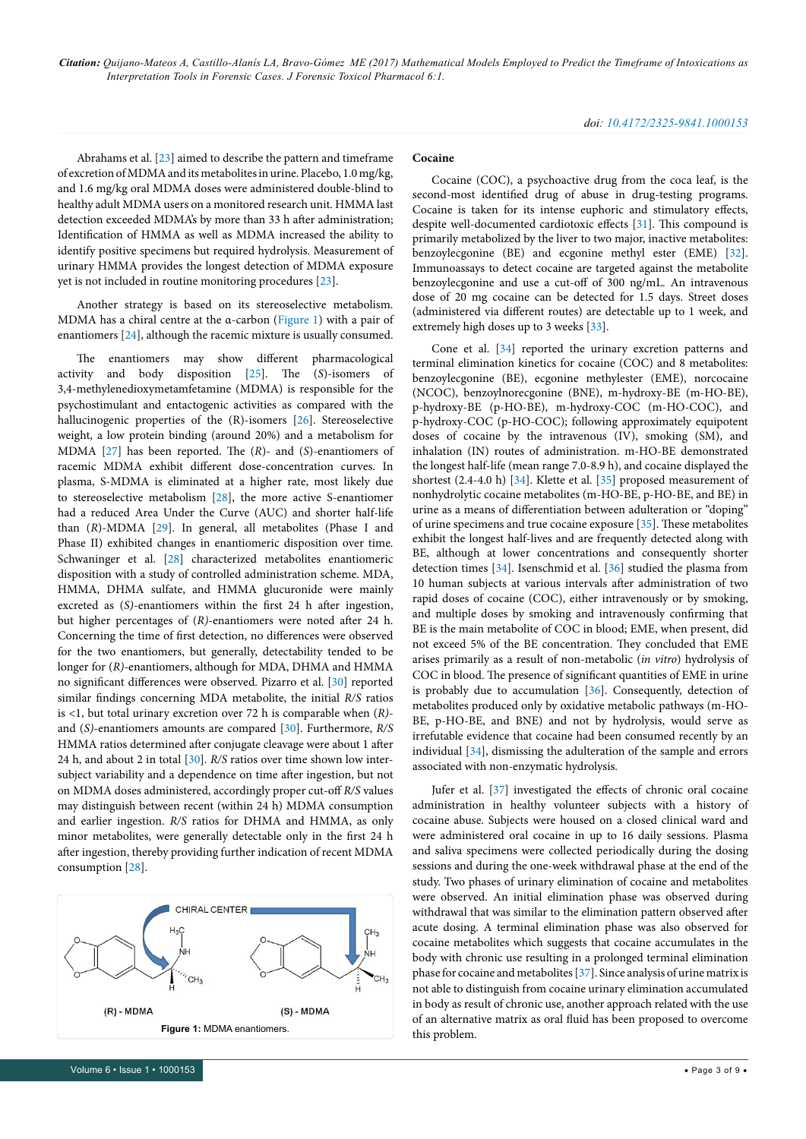Abrahams et al. [\[23](#page-7-8)] aimed to describe the pattern and timeframe of excretion of MDMA and its metabolites in urine. Placebo, 1.0 mg/kg, and 1.6 mg/kg oral MDMA doses were administered double-blind to healthy adult MDMA users on a monitored research unit. HMMA last detection exceeded MDMA's by more than 33 h after administration; Identification of HMMA as well as MDMA increased the ability to identify positive specimens but required hydrolysis. Measurement of urinary HMMA provides the longest detection of MDMA exposure yet is not included in routine monitoring procedures [\[23](#page-7-8)].

Another strategy is based on its stereoselective metabolism. MDMA has a chiral centre at the α-carbon [\(Figure 1](#page-2-0)) with a pair of enantiomers [\[24\]](#page-7-9), although the racemic mixture is usually consumed.

The enantiomers may show different pharmacological activity and body disposition [\[25\]](#page-7-10). The (*S*)-isomers of 3,4-methylenedioxymetamfetamine (MDMA) is responsible for the psychostimulant and entactogenic activities as compared with the hallucinogenic properties of the (R)-isomers [[26](#page-7-11)]. Stereoselective weight, a low protein binding (around 20%) and a metabolism for MDMA [\[27\]](#page-7-12) has been reported. The (*R*)- and (*S*)-enantiomers of racemic MDMA exhibit different dose-concentration curves. In plasma, S-MDMA is eliminated at a higher rate, most likely due to stereoselective metabolism [[28](#page-7-13)], the more active S-enantiomer had a reduced Area Under the Curve (AUC) and shorter half-life than (*R*)-MDMA [\[29](#page-7-14)]. In general, all metabolites (Phase I and Phase II) exhibited changes in enantiomeric disposition over time. Schwaninger et al. [\[28\]](#page-7-13) characterized metabolites enantiomeric disposition with a study of controlled administration scheme. MDA, HMMA, DHMA sulfate, and HMMA glucuronide were mainly excreted as (*S)*-enantiomers within the first 24 h after ingestion, but higher percentages of (*R)*-enantiomers were noted after 24 h. Concerning the time of first detection, no differences were observed for the two enantiomers, but generally, detectability tended to be longer for (*R)*-enantiomers, although for MDA, DHMA and HMMA no significant differences were observed. Pizarro et al. [\[30\]](#page-7-15) reported similar findings concerning MDA metabolite, the initial *R/S* ratios is <1, but total urinary excretion over 72 h is comparable when (*R)* and (*S)*-enantiomers amounts are compared [\[30\]](#page-7-15). Furthermore, *R/S* HMMA ratios determined after conjugate cleavage were about 1 after 24 h, and about 2 in total [\[30\]](#page-7-15). *R/S* ratios over time shown low intersubject variability and a dependence on time after ingestion, but not on MDMA doses administered, accordingly proper cut-off *R/S* values may distinguish between recent (within 24 h) MDMA consumption and earlier ingestion. *R/S* ratios for DHMA and HMMA, as only minor metabolites, were generally detectable only in the first 24 h after ingestion, thereby providing further indication of recent MDMA consumption [\[28\]](#page-7-13).

<span id="page-2-0"></span>

#### **Cocaine**

Cocaine (COC), a psychoactive drug from the coca leaf, is the second-most identified drug of abuse in drug-testing programs. Cocaine is taken for its intense euphoric and stimulatory effects, despite well-documented cardiotoxic effects [\[31\]](#page-7-16). This compound is primarily metabolized by the liver to two major, inactive metabolites: benzoylecgonine (BE) and ecgonine methyl ester (EME) [[32\]](#page-7-17). Immunoassays to detect cocaine are targeted against the metabolite benzoylecgonine and use a cut-off of 300 ng/mL. An intravenous dose of 20 mg cocaine can be detected for 1.5 days. Street doses (administered via different routes) are detectable up to 1 week, and extremely high doses up to 3 weeks [\[33\]](#page-7-18).

Cone et al. [\[34\]](#page-7-19) reported the urinary excretion patterns and terminal elimination kinetics for cocaine (COC) and 8 metabolites: benzoylecgonine (BE), ecgonine methylester (EME), norcocaine (NCOC), benzoylnorecgonine (BNE), m-hydroxy-BE (m-HO-BE), p-hydroxy-BE (p-HO-BE), m-hydroxy-COC (m-HO-COC), and p-hydroxy-COC (p-HO-COC); following approximately equipotent doses of cocaine by the intravenous (IV), smoking (SM), and inhalation (IN) routes of administration. m-HO-BE demonstrated the longest half-life (mean range 7.0-8.9 h), and cocaine displayed the shortest (2.4-4.0 h) [[34](#page-7-19)]. Klette et al. [\[35](#page-7-20)] proposed measurement of nonhydrolytic cocaine metabolites (m-HO-BE, p-HO-BE, and BE) in urine as a means of differentiation between adulteration or "doping" of urine specimens and true cocaine exposure [\[35\]](#page-7-20). These metabolites exhibit the longest half-lives and are frequently detected along with BE, although at lower concentrations and consequently shorter detection times [\[34\]](#page-7-19). Isenschmid et al. [[36](#page-7-21)] studied the plasma from 10 human subjects at various intervals after administration of two rapid doses of cocaine (COC), either intravenously or by smoking, and multiple doses by smoking and intravenously confirming that BE is the main metabolite of COC in blood; EME, when present, did not exceed 5% of the BE concentration. They concluded that EME arises primarily as a result of non-metabolic (*in vitro*) hydrolysis of COC in blood. The presence of significant quantities of EME in urine is probably due to accumulation [\[36\]](#page-7-21). Consequently, detection of metabolites produced only by oxidative metabolic pathways (m-HO-BE, p-HO-BE, and BNE) and not by hydrolysis, would serve as irrefutable evidence that cocaine had been consumed recently by an individual [\[34\]](#page-7-19), dismissing the adulteration of the sample and errors associated with non-enzymatic hydrolysis.

Jufer et al. [\[37\]](#page-7-22) investigated the effects of chronic oral cocaine administration in healthy volunteer subjects with a history of cocaine abuse. Subjects were housed on a closed clinical ward and were administered oral cocaine in up to 16 daily sessions. Plasma and saliva specimens were collected periodically during the dosing sessions and during the one-week withdrawal phase at the end of the study. Two phases of urinary elimination of cocaine and metabolites were observed. An initial elimination phase was observed during withdrawal that was similar to the elimination pattern observed after acute dosing. A terminal elimination phase was also observed for cocaine metabolites which suggests that cocaine accumulates in the body with chronic use resulting in a prolonged terminal elimination phase for cocaine and metabolites [[37](#page-7-22)]. Since analysis of urine matrix is not able to distinguish from cocaine urinary elimination accumulated in body as result of chronic use, another approach related with the use of an alternative matrix as oral fluid has been proposed to overcome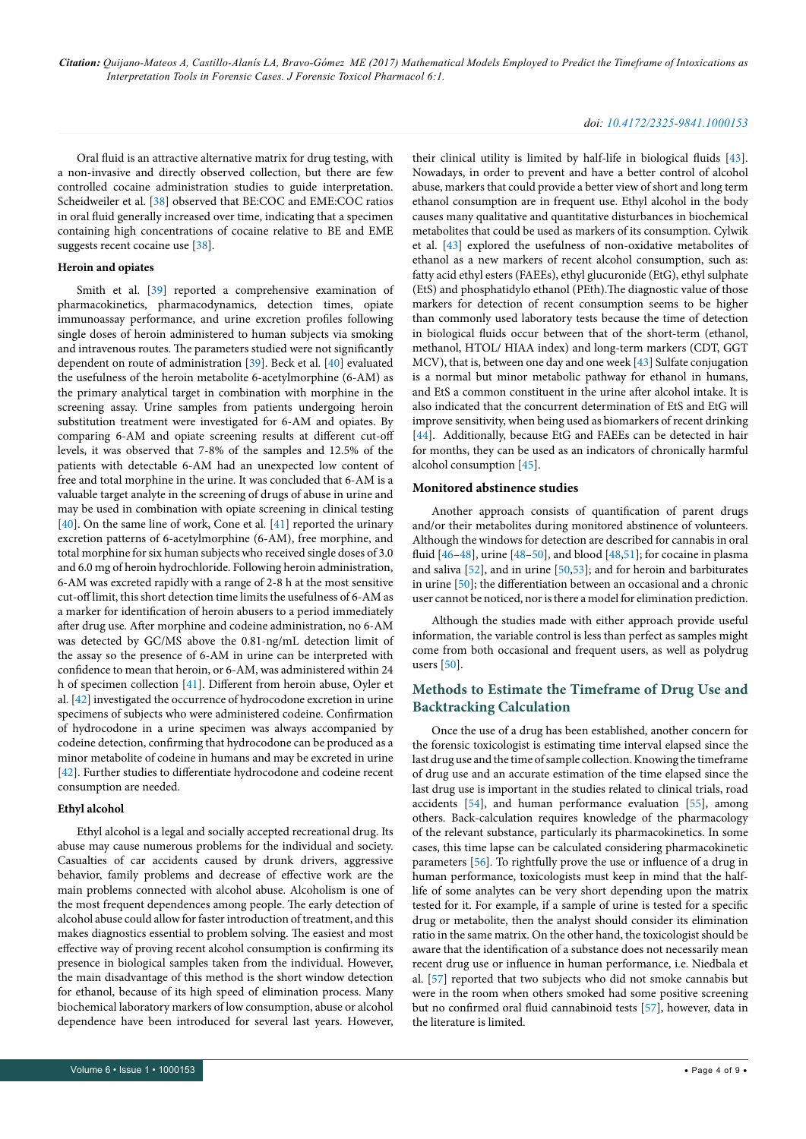# *doi: 10.4172/2325-9841.1000153*

Oral fluid is an attractive alternative matrix for drug testing, with a non-invasive and directly observed collection, but there are few controlled cocaine administration studies to guide interpretation. Scheidweiler et al. [\[38\]](#page-7-23) observed that BE:COC and EME:COC ratios in oral fluid generally increased over time, indicating that a specimen containing high concentrations of cocaine relative to BE and EME suggests recent cocaine use [[38](#page-7-23)].

### **Heroin and opiates**

Smith et al. [[39](#page-7-24)] reported a comprehensive examination of pharmacokinetics, pharmacodynamics, detection times, opiate immunoassay performance, and urine excretion profiles following single doses of heroin administered to human subjects via smoking and intravenous routes. The parameters studied were not significantly dependent on route of administration [\[39\]](#page-7-24). Beck et al. [\[40](#page-7-25)] evaluated the usefulness of the heroin metabolite 6-acetylmorphine (6-AM) as the primary analytical target in combination with morphine in the screening assay. Urine samples from patients undergoing heroin substitution treatment were investigated for 6-AM and opiates. By comparing 6-AM and opiate screening results at different cut-off levels, it was observed that 7-8% of the samples and 12.5% of the patients with detectable 6-AM had an unexpected low content of free and total morphine in the urine. It was concluded that 6-AM is a valuable target analyte in the screening of drugs of abuse in urine and may be used in combination with opiate screening in clinical testing [[40](#page-7-25)]. On the same line of work, Cone et al*.* [\[41\]](#page-7-26) reported the urinary excretion patterns of 6-acetylmorphine (6-AM), free morphine, and total morphine for six human subjects who received single doses of 3.0 and 6.0 mg of heroin hydrochloride. Following heroin administration, 6-AM was excreted rapidly with a range of 2-8 h at the most sensitive cut-off limit, this short detection time limits the usefulness of 6-AM as a marker for identification of heroin abusers to a period immediately after drug use. After morphine and codeine administration, no 6-AM was detected by GC/MS above the 0.81-ng/mL detection limit of the assay so the presence of 6-AM in urine can be interpreted with confidence to mean that heroin, or 6-AM, was administered within 24 h of specimen collection [[41](#page-7-26)]. Different from heroin abuse, Oyler et al. [[42](#page-7-27)] investigated the occurrence of hydrocodone excretion in urine specimens of subjects who were administered codeine. Confirmation of hydrocodone in a urine specimen was always accompanied by codeine detection, confirming that hydrocodone can be produced as a minor metabolite of codeine in humans and may be excreted in urine [[42](#page-7-27)]. Further studies to differentiate hydrocodone and codeine recent consumption are needed.

# **Ethyl alcohol**

Ethyl alcohol is a legal and socially accepted recreational drug. Its abuse may cause numerous problems for the individual and society. Casualties of car accidents caused by drunk drivers, aggressive behavior, family problems and decrease of effective work are the main problems connected with alcohol abuse. Alcoholism is one of the most frequent dependences among people. The early detection of alcohol abuse could allow for faster introduction of treatment, and this makes diagnostics essential to problem solving. The easiest and most effective way of proving recent alcohol consumption is confirming its presence in biological samples taken from the individual. However, the main disadvantage of this method is the short window detection for ethanol, because of its high speed of elimination process. Many biochemical laboratory markers of low consumption, abuse or alcohol dependence have been introduced for several last years. However,

their clinical utility is limited by half-life in biological fluids [[43\]](#page-7-28). Nowadays, in order to prevent and have a better control of alcohol abuse, markers that could provide a better view of short and long term ethanol consumption are in frequent use. Ethyl alcohol in the body causes many qualitative and quantitative disturbances in biochemical metabolites that could be used as markers of its consumption. Cylwik et al. [[43\]](#page-7-28) explored the usefulness of non-oxidative metabolites of ethanol as a new markers of recent alcohol consumption, such as: fatty acid ethyl esters (FAEEs), ethyl glucuronide (EtG), ethyl sulphate (EtS) and phosphatidylo ethanol (PEth).The diagnostic value of those markers for detection of recent consumption seems to be higher than commonly used laboratory tests because the time of detection in biological fluids occur between that of the short-term (ethanol, methanol, HTOL/ HIAA index) and long-term markers (CDT, GGT MCV), that is, between one day and one week [[43](#page-7-28)] Sulfate conjugation is a normal but minor metabolic pathway for ethanol in humans, and EtS a common constituent in the urine after alcohol intake. It is also indicated that the concurrent determination of EtS and EtG will improve sensitivity, when being used as biomarkers of recent drinking [[44](#page-7-29)]. Additionally, because EtG and FAEEs can be detected in hair for months, they can be used as an indicators of chronically harmful alcohol consumption [[45](#page-7-30)].

### **Monitored abstinence studies**

Another approach consists of quantification of parent drugs and/or their metabolites during monitored abstinence of volunteers. Although the windows for detection are described for cannabis in oral fluid  $[46-48]$  $[46-48]$  $[46-48]$  $[46-48]$ , urine  $[48-50]$ , and blood  $[48,51]$  $[48,51]$  $[48,51]$ ; for cocaine in plasma and saliva [\[52\]](#page-8-1), and in urine [[50](#page-7-33)[,53\]](#page-8-2); and for heroin and barbiturates in urine [[50](#page-7-33)]; the differentiation between an occasional and a chronic user cannot be noticed, nor is there a model for elimination prediction.

Although the studies made with either approach provide useful information, the variable control is less than perfect as samples might come from both occasional and frequent users, as well as polydrug users [\[50](#page-7-33)].

# **Methods to Estimate the Timeframe of Drug Use and Backtracking Calculation**

Once the use of a drug has been established, another concern for the forensic toxicologist is estimating time interval elapsed since the last drug use and the time of sample collection. Knowing the timeframe of drug use and an accurate estimation of the time elapsed since the last drug use is important in the studies related to clinical trials, road accidents [[54\]](#page-8-3), and human performance evaluation [\[55](#page-8-4)], among others. Back-calculation requires knowledge of the pharmacology of the relevant substance, particularly its pharmacokinetics. In some cases, this time lapse can be calculated considering pharmacokinetic parameters [\[56\]](#page-8-5). To rightfully prove the use or influence of a drug in human performance, toxicologists must keep in mind that the halflife of some analytes can be very short depending upon the matrix tested for it. For example, if a sample of urine is tested for a specific drug or metabolite, then the analyst should consider its elimination ratio in the same matrix. On the other hand, the toxicologist should be aware that the identification of a substance does not necessarily mean recent drug use or influence in human performance, i.e. Niedbala et al. [[57\]](#page-8-6) reported that two subjects who did not smoke cannabis but were in the room when others smoked had some positive screening but no confirmed oral fluid cannabinoid tests [\[57](#page-8-6)], however, data in the literature is limited.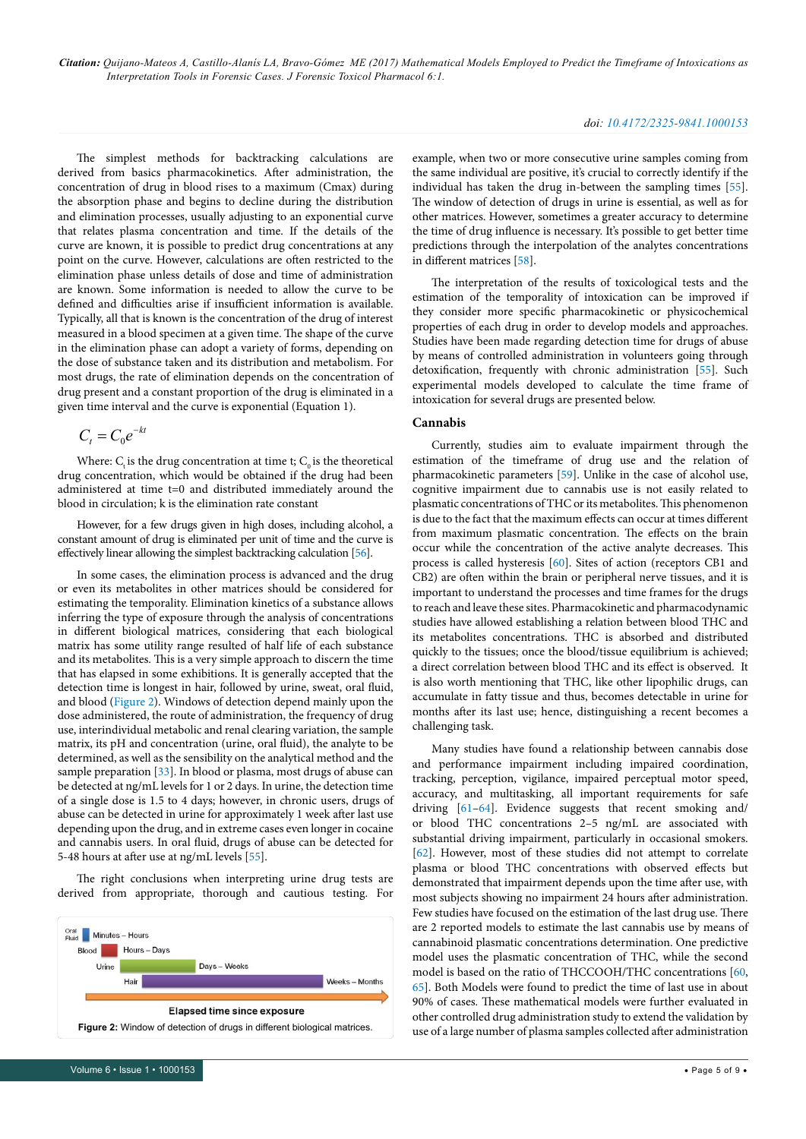The simplest methods for backtracking calculations are derived from basics pharmacokinetics. After administration, the concentration of drug in blood rises to a maximum (Cmax) during the absorption phase and begins to decline during the distribution and elimination processes, usually adjusting to an exponential curve that relates plasma concentration and time. If the details of the curve are known, it is possible to predict drug concentrations at any point on the curve. However, calculations are often restricted to the elimination phase unless details of dose and time of administration are known. Some information is needed to allow the curve to be defined and difficulties arise if insufficient information is available. Typically, all that is known is the concentration of the drug of interest measured in a blood specimen at a given time. The shape of the curve in the elimination phase can adopt a variety of forms, depending on the dose of substance taken and its distribution and metabolism. For most drugs, the rate of elimination depends on the concentration of drug present and a constant proportion of the drug is eliminated in a given time interval and the curve is exponential (Equation 1).

$$
C_t = C_0 e^{-kt}
$$

Where:  $C_t$  is the drug concentration at time t;  $C_0$  is the theoretical drug concentration, which would be obtained if the drug had been administered at time t=0 and distributed immediately around the blood in circulation; k is the elimination rate constant

However, for a few drugs given in high doses, including alcohol, a constant amount of drug is eliminated per unit of time and the curve is effectively linear allowing the simplest backtracking calculation [\[56\]](#page-8-5).

In some cases, the elimination process is advanced and the drug or even its metabolites in other matrices should be considered for estimating the temporality. Elimination kinetics of a substance allows inferring the type of exposure through the analysis of concentrations in different biological matrices, considering that each biological matrix has some utility range resulted of half life of each substance and its metabolites. This is a very simple approach to discern the time that has elapsed in some exhibitions. It is generally accepted that the detection time is longest in hair, followed by urine, sweat, oral fluid, and blood [\(Figure 2\)](#page-2-0). Windows of detection depend mainly upon the dose administered, the route of administration, the frequency of drug use, interindividual metabolic and renal clearing variation, the sample matrix, its pH and concentration (urine, oral fluid), the analyte to be determined, as well as the sensibility on the analytical method and the sample preparation [[33](#page-7-18)]. In blood or plasma, most drugs of abuse can be detected at ng/mL levels for 1 or 2 days. In urine, the detection time of a single dose is 1.5 to 4 days; however, in chronic users, drugs of abuse can be detected in urine for approximately 1 week after last use depending upon the drug, and in extreme cases even longer in cocaine and cannabis users. In oral fluid, drugs of abuse can be detected for 5-48 hours at after use at ng/mL levels [[55](#page-8-4)].

The right conclusions when interpreting urine drug tests are derived from appropriate, thorough and cautious testing. For



example, when two or more consecutive urine samples coming from the same individual are positive, it's crucial to correctly identify if the individual has taken the drug in-between the sampling times [[55\]](#page-8-4). The window of detection of drugs in urine is essential, as well as for other matrices. However, sometimes a greater accuracy to determine the time of drug influence is necessary. It's possible to get better time predictions through the interpolation of the analytes concentrations in different matrices [\[58](#page-8-7)].

The interpretation of the results of toxicological tests and the estimation of the temporality of intoxication can be improved if they consider more specific pharmacokinetic or physicochemical properties of each drug in order to develop models and approaches. Studies have been made regarding detection time for drugs of abuse by means of controlled administration in volunteers going through detoxification, frequently with chronic administration [[55](#page-8-4)]. Such experimental models developed to calculate the time frame of intoxication for several drugs are presented below.

# **Cannabis**

Currently, studies aim to evaluate impairment through the estimation of the timeframe of drug use and the relation of pharmacokinetic parameters [\[59](#page-8-8)]. Unlike in the case of alcohol use, cognitive impairment due to cannabis use is not easily related to plasmatic concentrations of THC or its metabolites. This phenomenon is due to the fact that the maximum effects can occur at times different from maximum plasmatic concentration. The effects on the brain occur while the concentration of the active analyte decreases. This process is called hysteresis [[60](#page-8-9)]. Sites of action (receptors CB1 and CB2) are often within the brain or peripheral nerve tissues, and it is important to understand the processes and time frames for the drugs to reach and leave these sites. Pharmacokinetic and pharmacodynamic studies have allowed establishing a relation between blood THC and its metabolites concentrations. THC is absorbed and distributed quickly to the tissues; once the blood/tissue equilibrium is achieved; a direct correlation between blood THC and its effect is observed. It is also worth mentioning that THC, like other lipophilic drugs, can accumulate in fatty tissue and thus, becomes detectable in urine for months after its last use; hence, distinguishing a recent becomes a challenging task.

Many studies have found a relationship between cannabis dose and performance impairment including impaired coordination, tracking, perception, vigilance, impaired perceptual motor speed, accuracy, and multitasking, all important requirements for safe driving [\[61](#page-8-10)–[64](#page-8-11)]. Evidence suggests that recent smoking and/ or blood THC concentrations 2–5 ng/mL are associated with substantial driving impairment, particularly in occasional smokers. [[62](#page-8-12)]. However, most of these studies did not attempt to correlate plasma or blood THC concentrations with observed effects but demonstrated that impairment depends upon the time after use, with most subjects showing no impairment 24 hours after administration. Few studies have focused on the estimation of the last drug use. There are 2 reported models to estimate the last cannabis use by means of cannabinoid plasmatic concentrations determination. One predictive model uses the plasmatic concentration of THC, while the second model is based on the ratio of THCCOOH/THC concentrations [\[60,](#page-8-9) [65](#page-8-13)]. Both Models were found to predict the time of last use in about 90% of cases. These mathematical models were further evaluated in other controlled drug administration study to extend the validation by Figure 2: Window of detection of drugs in different biological matrices. <br>use of a large number of plasma samples collected after administration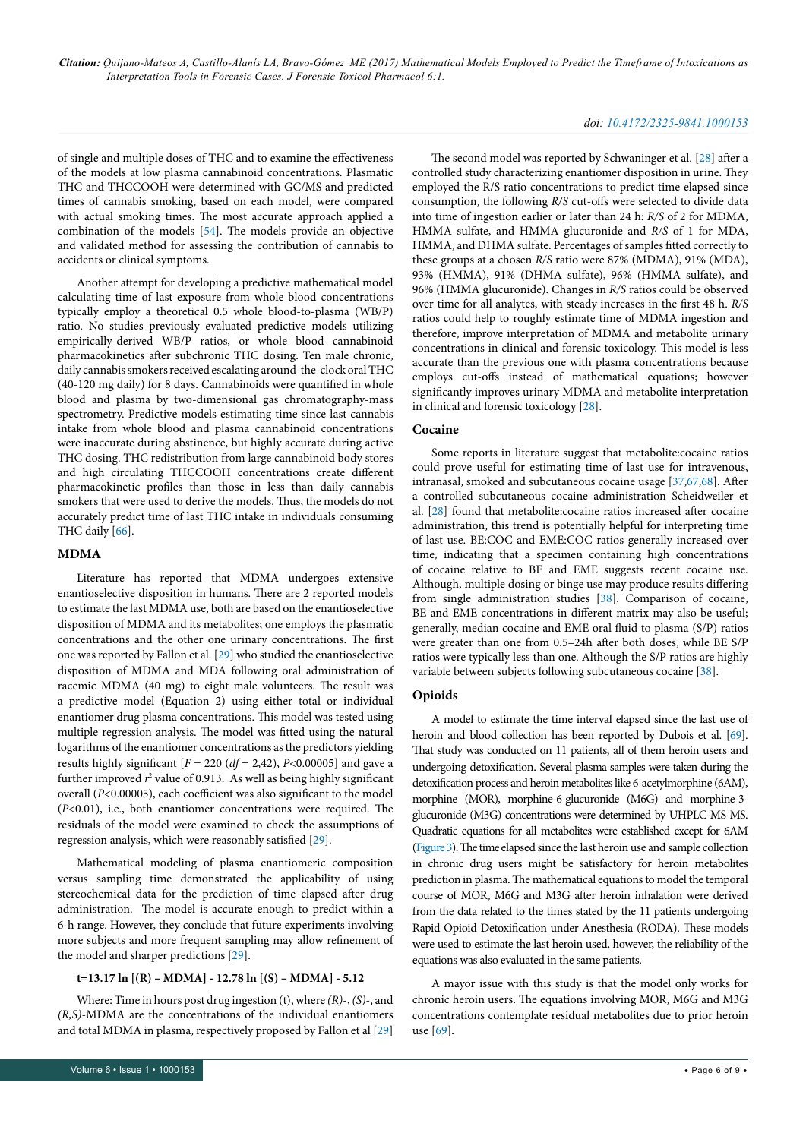# *doi: 10.4172/2325-9841.1000153*

of single and multiple doses of THC and to examine the effectiveness of the models at low plasma cannabinoid concentrations. Plasmatic THC and THCCOOH were determined with GC/MS and predicted times of cannabis smoking, based on each model, were compared with actual smoking times. The most accurate approach applied a combination of the models [[54](#page-8-3)]. The models provide an objective and validated method for assessing the contribution of cannabis to accidents or clinical symptoms.

Another attempt for developing a predictive mathematical model calculating time of last exposure from whole blood concentrations typically employ a theoretical 0.5 whole blood-to-plasma (WB/P) ratio. No studies previously evaluated predictive models utilizing empirically-derived WB/P ratios, or whole blood cannabinoid pharmacokinetics after subchronic THC dosing. Ten male chronic, daily cannabis smokers received escalating around-the-clock oral THC (40-120 mg daily) for 8 days. Cannabinoids were quantified in whole blood and plasma by two-dimensional gas chromatography-mass spectrometry. Predictive models estimating time since last cannabis intake from whole blood and plasma cannabinoid concentrations were inaccurate during abstinence, but highly accurate during active THC dosing. THC redistribution from large cannabinoid body stores and high circulating THCCOOH concentrations create different pharmacokinetic profiles than those in less than daily cannabis smokers that were used to derive the models. Thus, the models do not accurately predict time of last THC intake in individuals consuming THC daily [\[66](#page-8-14)].

# **MDMA**

Literature has reported that MDMA undergoes extensive enantioselective disposition in humans. There are 2 reported models to estimate the last MDMA use, both are based on the enantioselective disposition of MDMA and its metabolites; one employs the plasmatic concentrations and the other one urinary concentrations. The first one was reported by Fallon et al. [\[29\]](#page-7-14) who studied the enantioselective disposition of MDMA and MDA following oral administration of racemic MDMA (40 mg) to eight male volunteers. The result was a predictive model (Equation 2) using either total or individual enantiomer drug plasma concentrations. This model was tested using multiple regression analysis. The model was fitted using the natural logarithms of the enantiomer concentrations as the predictors yielding results highly significant  $[F = 220 (df = 2,42), P < 0.00005]$  and gave a further improved  $r^2$  value of 0.913. As well as being highly significant overall (*P*<0.00005), each coefficient was also significant to the model (*P*<0.01), i.e., both enantiomer concentrations were required. The residuals of the model were examined to check the assumptions of regression analysis, which were reasonably satisfied [\[29\]](#page-7-14).

Mathematical modeling of plasma enantiomeric composition versus sampling time demonstrated the applicability of using stereochemical data for the prediction of time elapsed after drug administration. The model is accurate enough to predict within a 6-h range. However, they conclude that future experiments involving more subjects and more frequent sampling may allow refinement of the model and sharper predictions [\[29](#page-7-14)].

# **t=13.17 ln [(R) – MDMA] - 12.78 ln [(S) – MDMA] - 5.12**

Where: Time in hours post drug ingestion (t), where *(R)*-, *(S)*-, and *(R,S)*-MDMA are the concentrations of the individual enantiomers and total MDMA in plasma, respectively proposed by Fallon et al [[29](#page-7-14)]

The second model was reported by Schwaninger et al. [[28](#page-7-13)] after a controlled study characterizing enantiomer disposition in urine. They employed the R/S ratio concentrations to predict time elapsed since consumption, the following *R/S* cut-offs were selected to divide data into time of ingestion earlier or later than 24 h: *R/S* of 2 for MDMA, HMMA sulfate, and HMMA glucuronide and *R/S* of 1 for MDA, HMMA, and DHMA sulfate. Percentages of samples fitted correctly to these groups at a chosen *R/S* ratio were 87% (MDMA), 91% (MDA), 93% (HMMA), 91% (DHMA sulfate), 96% (HMMA sulfate), and 96% (HMMA glucuronide). Changes in *R/S* ratios could be observed over time for all analytes, with steady increases in the first 48 h. *R/S* ratios could help to roughly estimate time of MDMA ingestion and therefore, improve interpretation of MDMA and metabolite urinary concentrations in clinical and forensic toxicology. This model is less accurate than the previous one with plasma concentrations because employs cut-offs instead of mathematical equations; however significantly improves urinary MDMA and metabolite interpretation in clinical and forensic toxicology [[28](#page-7-13)].

# **Cocaine**

Some reports in literature suggest that metabolite:cocaine ratios could prove useful for estimating time of last use for intravenous, intranasal, smoked and subcutaneous cocaine usage [[37](#page-7-22),[67](#page-8-15)[,68\]](#page-8-16). After a controlled subcutaneous cocaine administration Scheidweiler et al. [\[28\]](#page-7-13) found that metabolite:cocaine ratios increased after cocaine administration, this trend is potentially helpful for interpreting time of last use. BE:COC and EME:COC ratios generally increased over time, indicating that a specimen containing high concentrations of cocaine relative to BE and EME suggests recent cocaine use. Although, multiple dosing or binge use may produce results differing from single administration studies [[38](#page-7-23)]. Comparison of cocaine, BE and EME concentrations in different matrix may also be useful; generally, median cocaine and EME oral fluid to plasma (S/P) ratios were greater than one from 0.5–24h after both doses, while BE S/P ratios were typically less than one. Although the S/P ratios are highly variable between subjects following subcutaneous cocaine [\[38\]](#page-7-23).

# **Opioids**

A model to estimate the time interval elapsed since the last use of heroin and blood collection has been reported by Dubois et al. [\[69\]](#page-8-17). That study was conducted on 11 patients, all of them heroin users and undergoing detoxification. Several plasma samples were taken during the detoxification process and heroin metabolites like 6-acetylmorphine (6AM), morphine (MOR), morphine-6-glucuronide (M6G) and morphine-3 glucuronide (M3G) concentrations were determined by UHPLC-MS-MS. Quadratic equations for all metabolites were established except for 6AM [\(Figure 3\)](#page-6-12). The time elapsed since the last heroin use and sample collection in chronic drug users might be satisfactory for heroin metabolites prediction in plasma. The mathematical equations to model the temporal course of MOR, M6G and M3G after heroin inhalation were derived from the data related to the times stated by the 11 patients undergoing Rapid Opioid Detoxification under Anesthesia (RODA). These models were used to estimate the last heroin used, however, the reliability of the equations was also evaluated in the same patients.

A mayor issue with this study is that the model only works for chronic heroin users. The equations involving MOR, M6G and M3G concentrations contemplate residual metabolites due to prior heroin use [[69](#page-8-17)].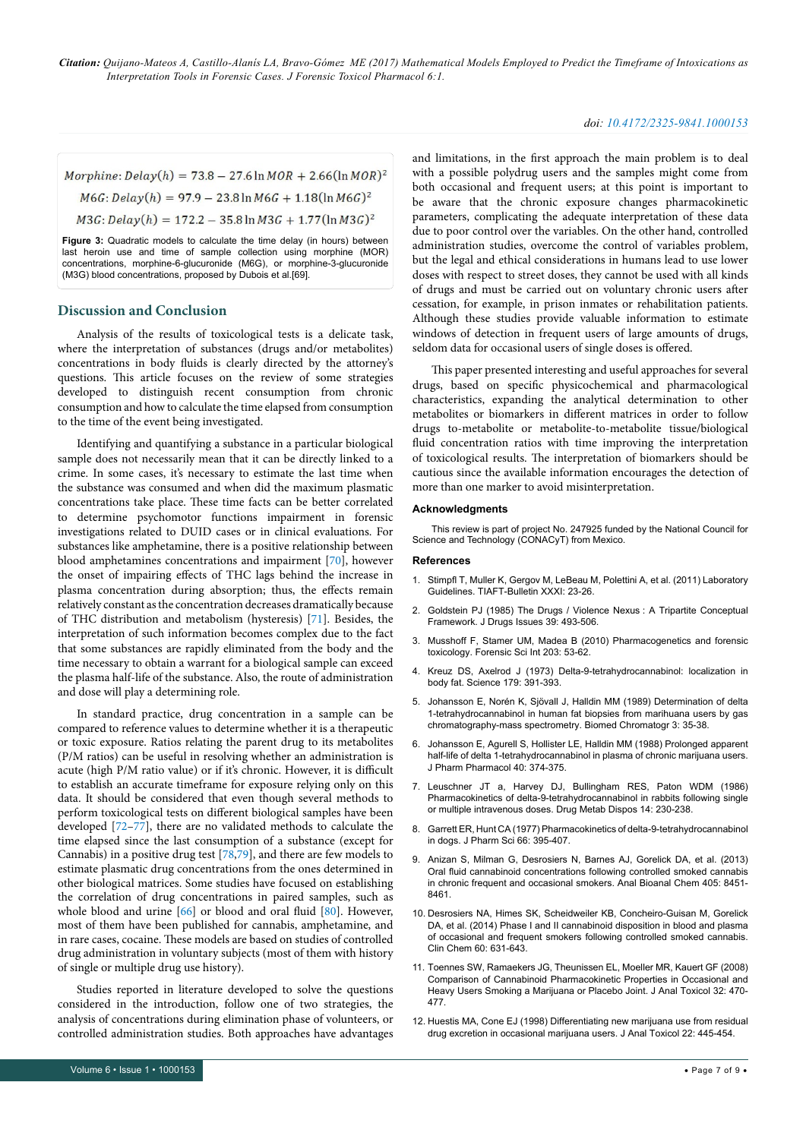# *doi: 10.4172/2325-9841.1000153*

<span id="page-6-12"></span>Morphine:  $Delay(h) = 73.8 - 27.6 \ln MOR + 2.66(\ln MOR)^2$  $M6G: Delay(h) = 97.9 - 23.8 \ln M6G + 1.18(\ln M6G)^2$  $M3G: Delay(h) = 172.2 - 35.8 \ln M3G + 1.77(\ln M3G)^2$ 

**Figure 3:** Quadratic models to calculate the time delay (in hours) between last heroin use and time of sample collection using morphine (MOR) concentrations, morphine-6-glucuronide (M6G), or morphine-3-glucuronide (M3G) blood concentrations, proposed by Dubois et al.[69].

# **Discussion and Conclusion**

Analysis of the results of toxicological tests is a delicate task, where the interpretation of substances (drugs and/or metabolites) concentrations in body fluids is clearly directed by the attorney's questions. This article focuses on the review of some strategies developed to distinguish recent consumption from chronic consumption and how to calculate the time elapsed from consumption to the time of the event being investigated.

Identifying and quantifying a substance in a particular biological sample does not necessarily mean that it can be directly linked to a crime. In some cases, it's necessary to estimate the last time when the substance was consumed and when did the maximum plasmatic concentrations take place. These time facts can be better correlated to determine psychomotor functions impairment in forensic investigations related to DUID cases or in clinical evaluations. For substances like amphetamine, there is a positive relationship between blood amphetamines concentrations and impairment [\[70](#page-8-18)], however the onset of impairing effects of THC lags behind the increase in plasma concentration during absorption; thus, the effects remain relatively constant as the concentration decreases dramatically because of THC distribution and metabolism (hysteresis) [[71\]](#page-8-19). Besides, the interpretation of such information becomes complex due to the fact that some substances are rapidly eliminated from the body and the time necessary to obtain a warrant for a biological sample can exceed the plasma half-life of the substance. Also, the route of administration and dose will play a determining role.

In standard practice, drug concentration in a sample can be compared to reference values to determine whether it is a therapeutic or toxic exposure. Ratios relating the parent drug to its metabolites (P/M ratios) can be useful in resolving whether an administration is acute (high P/M ratio value) or if it's chronic. However, it is difficult to establish an accurate timeframe for exposure relying only on this data. It should be considered that even though several methods to perform toxicological tests on different biological samples have been developed [\[72](#page-8-20)–[77](#page-8-21)], there are no validated methods to calculate the time elapsed since the last consumption of a substance (except for Cannabis) in a positive drug test [\[78](#page-8-22)[,79\]](#page-8-23), and there are few models to estimate plasmatic drug concentrations from the ones determined in other biological matrices. Some studies have focused on establishing the correlation of drug concentrations in paired samples, such as whole blood and urine [\[66\]](#page-8-14) or blood and oral fluid [[80](#page-8-24)]. However, most of them have been published for cannabis, amphetamine, and in rare cases, cocaine. These models are based on studies of controlled drug administration in voluntary subjects (most of them with history of single or multiple drug use history).

Studies reported in literature developed to solve the questions considered in the introduction, follow one of two strategies, the analysis of concentrations during elimination phase of volunteers, or controlled administration studies. Both approaches have advantages and limitations, in the first approach the main problem is to deal with a possible polydrug users and the samples might come from both occasional and frequent users; at this point is important to be aware that the chronic exposure changes pharmacokinetic parameters, complicating the adequate interpretation of these data due to poor control over the variables. On the other hand, controlled administration studies, overcome the control of variables problem, but the legal and ethical considerations in humans lead to use lower doses with respect to street doses, they cannot be used with all kinds of drugs and must be carried out on voluntary chronic users after cessation, for example, in prison inmates or rehabilitation patients. Although these studies provide valuable information to estimate windows of detection in frequent users of large amounts of drugs, seldom data for occasional users of single doses is offered.

This paper presented interesting and useful approaches for several drugs, based on specific physicochemical and pharmacological characteristics, expanding the analytical determination to other metabolites or biomarkers in different matrices in order to follow drugs to-metabolite or metabolite-to-metabolite tissue/biological fluid concentration ratios with time improving the interpretation of toxicological results. The interpretation of biomarkers should be cautious since the available information encourages the detection of more than one marker to avoid misinterpretation.

# **Acknowledgments**

This review is part of project No. 247925 funded by the National Council for Science and Technology (CONACyT) from Mexico.

#### **References**

- <span id="page-6-3"></span>1. [Stimpfl T, Muller K, Gergov M, LeBeau M, Polettini A, et al. \(2011\) Laboratory](http://www.tiaft.org/data/uploads/documents/tiaft-sta-laboratory-guidelines.pdf)  [Guidelines. TIAFT-Bulletin XXXI: 23-26.](http://www.tiaft.org/data/uploads/documents/tiaft-sta-laboratory-guidelines.pdf)
- <span id="page-6-0"></span>2. [Goldstein PJ \(1985\) The Drugs / Violence Nexus](http://www.drugpolicy.org/docUploads/nexus.pdf) : A Tripartite Conceptual [Framework. J Drugs Issues 39: 493-506.](http://www.drugpolicy.org/docUploads/nexus.pdf)
- <span id="page-6-1"></span>3. [Musshoff F, Stamer UM, Madea B \(2010\) Pharmacogenetics and forensic](https://linkinghub.elsevier.com/retrieve/pii/S0379-0738(10)00349-X)  [toxicology. Forensic Sci Int 203: 53-62.](https://linkinghub.elsevier.com/retrieve/pii/S0379-0738(10)00349-X)
- <span id="page-6-2"></span>4. [Kreuz DS, Axelrod J \(1973\) Delta-9-tetrahydrocannabinol: localization in](http://www.sciencemag.org/cgi/pmidlookup?view=long&pmid=4682965)  [body fat. Science 179: 391-393.](http://www.sciencemag.org/cgi/pmidlookup?view=long&pmid=4682965)
- <span id="page-6-4"></span>5. [Johansson E, Norén K, Sjövall J, Halldin MM \(1989\) Determination of delta](F:\1.SciTechnol\JFTP\JFTPVolume.6\JFTPVolume6.1\JFTP6.1_W\JFTP-17-135(153)\dx.doi.org\10.1002\bmc.1130030109)  [1-tetrahydrocannabinol in human fat biopsies from marihuana users by gas](F:\1.SciTechnol\JFTP\JFTPVolume.6\JFTPVolume6.1\JFTP6.1_W\JFTP-17-135(153)\dx.doi.org\10.1002\bmc.1130030109)  [chromatography-mass spectrometry. Biomed Chromatogr 3: 35-38.](F:\1.SciTechnol\JFTP\JFTPVolume.6\JFTPVolume6.1\JFTP6.1_W\JFTP-17-135(153)\dx.doi.org\10.1002\bmc.1130030109)
- <span id="page-6-5"></span>6. [Johansson E, Agurell S, Hollister LE, Halldin MM \(1988\) Prolonged apparent](http://onlinelibrary.wiley.com/doi/10.1111/j.2042-7158.1988.tb05272.x/abstract)  [half-life of delta 1-tetrahydrocannabinol in plasma of chronic marijuana users.](http://onlinelibrary.wiley.com/doi/10.1111/j.2042-7158.1988.tb05272.x/abstract)  [J Pharm Pharmacol 40: 374-375.](http://onlinelibrary.wiley.com/doi/10.1111/j.2042-7158.1988.tb05272.x/abstract)
- <span id="page-6-6"></span>7. [Leuschner JT a, Harvey DJ, Bullingham RES, Paton WDM \(1986\)](http://dmd.aspetjournals.org/content/14/2/230.long)  [Pharmacokinetics of delta-9-tetrahydrocannabinol in rabbits following single](http://dmd.aspetjournals.org/content/14/2/230.long)  [or multiple intravenous doses. Drug Metab Dispos 14: 230-238.](http://dmd.aspetjournals.org/content/14/2/230.long)
- <span id="page-6-7"></span>8. [Garrett ER, Hunt CA \(1977\) Pharmacokinetics of delta-9-tetrahydrocannabinol](http://jpharmsci.org/article/S0022-3549(15)39215-7/pdf)  [in dogs. J Pharm Sci 66: 395-407.](http://jpharmsci.org/article/S0022-3549(15)39215-7/pdf)
- <span id="page-6-8"></span>9. [Anizan S, Milman G, Desrosiers N, Barnes AJ, Gorelick DA, et al. \(2013\)](https://www.ncbi.nlm.nih.gov/pubmed/23954944)  [Oral fluid cannabinoid concentrations following controlled smoked cannabis](https://www.ncbi.nlm.nih.gov/pubmed/23954944)  [in chronic frequent and occasional smokers. Anal Bioanal Chem 405: 8451-](https://www.ncbi.nlm.nih.gov/pubmed/23954944) [8461.](https://www.ncbi.nlm.nih.gov/pubmed/23954944)
- <span id="page-6-9"></span>10. [Desrosiers NA, Himes SK, Scheidweiler KB, Concheiro-Guisan M, Gorelick](http://clinchem.aaccjnls.org/content/60/4/631.long)  [DA, et al. \(2014\) Phase I and II cannabinoid disposition in blood and plasma](http://clinchem.aaccjnls.org/content/60/4/631.long)  [of occasional and frequent smokers following controlled smoked cannabis.](http://clinchem.aaccjnls.org/content/60/4/631.long)  [Clin Chem 60: 631-643.](http://clinchem.aaccjnls.org/content/60/4/631.long)
- <span id="page-6-10"></span>11. [Toennes SW, Ramaekers JG, Theunissen EL, Moeller MR, Kauert GF \(2008\)](https://oup.silverchair-cdn.com/oup/backfile/Content_public/Journal/jat/32/7/10.1093/jat/32.7.470/2/32-7-470.pdf?Expires=1500032765&Signature=TPRNN4O9990Zl2wAdCgvNTH0aNZoiGZyj7bfdhXBsGzTqB0q~SRt4H6EsW6yN6fJJMq8nYQNK3FfJrOKP9BEJRWxbDR2QzyoLFa9~udFZlRj2bXpBgfFV1~ZuYV8C-7bVoF710teceIf3URrN8Kltu1S8zHSSJ0XL8OzAd6nQhqnDrd-v43mukl3hs0rBI5STyNmByLv1KlZk5YDZHKmURFkiccrM2L32Z3FiAStuSPxDpeFDDtj9Dy36R-kvxrk8~ZaABh1kj0AHvZ07b9Nd3DJkPG57RH3cPZUEATwByWk6ondMojTJAbCEVsGaslpDPH8FL5yRu6l0G8WjtrF6w__&Key-Pair-Id=APKAIUCZBIA4LFILENAME)  [Comparison of Cannabinoid Pharmacokinetic Properties in Occasional and](https://oup.silverchair-cdn.com/oup/backfile/Content_public/Journal/jat/32/7/10.1093/jat/32.7.470/2/32-7-470.pdf?Expires=1500032765&Signature=TPRNN4O9990Zl2wAdCgvNTH0aNZoiGZyj7bfdhXBsGzTqB0q~SRt4H6EsW6yN6fJJMq8nYQNK3FfJrOKP9BEJRWxbDR2QzyoLFa9~udFZlRj2bXpBgfFV1~ZuYV8C-7bVoF710teceIf3URrN8Kltu1S8zHSSJ0XL8OzAd6nQhqnDrd-v43mukl3hs0rBI5STyNmByLv1KlZk5YDZHKmURFkiccrM2L32Z3FiAStuSPxDpeFDDtj9Dy36R-kvxrk8~ZaABh1kj0AHvZ07b9Nd3DJkPG57RH3cPZUEATwByWk6ondMojTJAbCEVsGaslpDPH8FL5yRu6l0G8WjtrF6w__&Key-Pair-Id=APKAIUCZBIA4LFILENAME)  [Heavy Users Smoking a Marijuana or Placebo Joint. J Anal Toxicol 32: 470-](https://oup.silverchair-cdn.com/oup/backfile/Content_public/Journal/jat/32/7/10.1093/jat/32.7.470/2/32-7-470.pdf?Expires=1500032765&Signature=TPRNN4O9990Zl2wAdCgvNTH0aNZoiGZyj7bfdhXBsGzTqB0q~SRt4H6EsW6yN6fJJMq8nYQNK3FfJrOKP9BEJRWxbDR2QzyoLFa9~udFZlRj2bXpBgfFV1~ZuYV8C-7bVoF710teceIf3URrN8Kltu1S8zHSSJ0XL8OzAd6nQhqnDrd-v43mukl3hs0rBI5STyNmByLv1KlZk5YDZHKmURFkiccrM2L32Z3FiAStuSPxDpeFDDtj9Dy36R-kvxrk8~ZaABh1kj0AHvZ07b9Nd3DJkPG57RH3cPZUEATwByWk6ondMojTJAbCEVsGaslpDPH8FL5yRu6l0G8WjtrF6w__&Key-Pair-Id=APKAIUCZBIA4LFILENAME) [477.](https://oup.silverchair-cdn.com/oup/backfile/Content_public/Journal/jat/32/7/10.1093/jat/32.7.470/2/32-7-470.pdf?Expires=1500032765&Signature=TPRNN4O9990Zl2wAdCgvNTH0aNZoiGZyj7bfdhXBsGzTqB0q~SRt4H6EsW6yN6fJJMq8nYQNK3FfJrOKP9BEJRWxbDR2QzyoLFa9~udFZlRj2bXpBgfFV1~ZuYV8C-7bVoF710teceIf3URrN8Kltu1S8zHSSJ0XL8OzAd6nQhqnDrd-v43mukl3hs0rBI5STyNmByLv1KlZk5YDZHKmURFkiccrM2L32Z3FiAStuSPxDpeFDDtj9Dy36R-kvxrk8~ZaABh1kj0AHvZ07b9Nd3DJkPG57RH3cPZUEATwByWk6ondMojTJAbCEVsGaslpDPH8FL5yRu6l0G8WjtrF6w__&Key-Pair-Id=APKAIUCZBIA4LFILENAME)
- <span id="page-6-11"></span>12. [Huestis MA, Cone EJ \(1998\) Differentiating new marijuana use from residual](https://oup.silverchair-cdn.com/oup/backfile/Content_public/Journal/jat/22/6/10.1093/jat/22.6.445/2/22-6-445.pdf?Expires=1500032812&Signature=X~pajkBdjBIPgc6eyB79F1vK75HrjzveiJt8SX1U8wtJQzvy3aX0~UANtOyO5lHdWiWctgJX8QREogqzLspAsXJ6uqJqeK2xbopfbEYnKvKvy7PWF7lXkTSknzt6WCToiWHhGmSKceqXyWYkPL2kTjjRs90y1vrEesL-ghD-JaPY0LcURzyDuXufdlLpw-r~ugJXhcgwCteypACgfV0NCOSe~FSj7qym2qleSr2j~veNfX0Z0KbS4UjAECak1jaJHXphYI18IfWKiPlmDC2VGPZF3-Nr94hNiL4NS53y7hWS19zJ~yVBU5~R9TXl6PQEZMiw1-KJEa3lH3eE3lAq8Q__&Key-Pair-Id=APKAIUCZBIA4LFILENAME)  [drug excretion in occasional marijuana users. J Anal Toxicol 22: 445-454.](https://oup.silverchair-cdn.com/oup/backfile/Content_public/Journal/jat/22/6/10.1093/jat/22.6.445/2/22-6-445.pdf?Expires=1500032812&Signature=X~pajkBdjBIPgc6eyB79F1vK75HrjzveiJt8SX1U8wtJQzvy3aX0~UANtOyO5lHdWiWctgJX8QREogqzLspAsXJ6uqJqeK2xbopfbEYnKvKvy7PWF7lXkTSknzt6WCToiWHhGmSKceqXyWYkPL2kTjjRs90y1vrEesL-ghD-JaPY0LcURzyDuXufdlLpw-r~ugJXhcgwCteypACgfV0NCOSe~FSj7qym2qleSr2j~veNfX0Z0KbS4UjAECak1jaJHXphYI18IfWKiPlmDC2VGPZF3-Nr94hNiL4NS53y7hWS19zJ~yVBU5~R9TXl6PQEZMiw1-KJEa3lH3eE3lAq8Q__&Key-Pair-Id=APKAIUCZBIA4LFILENAME)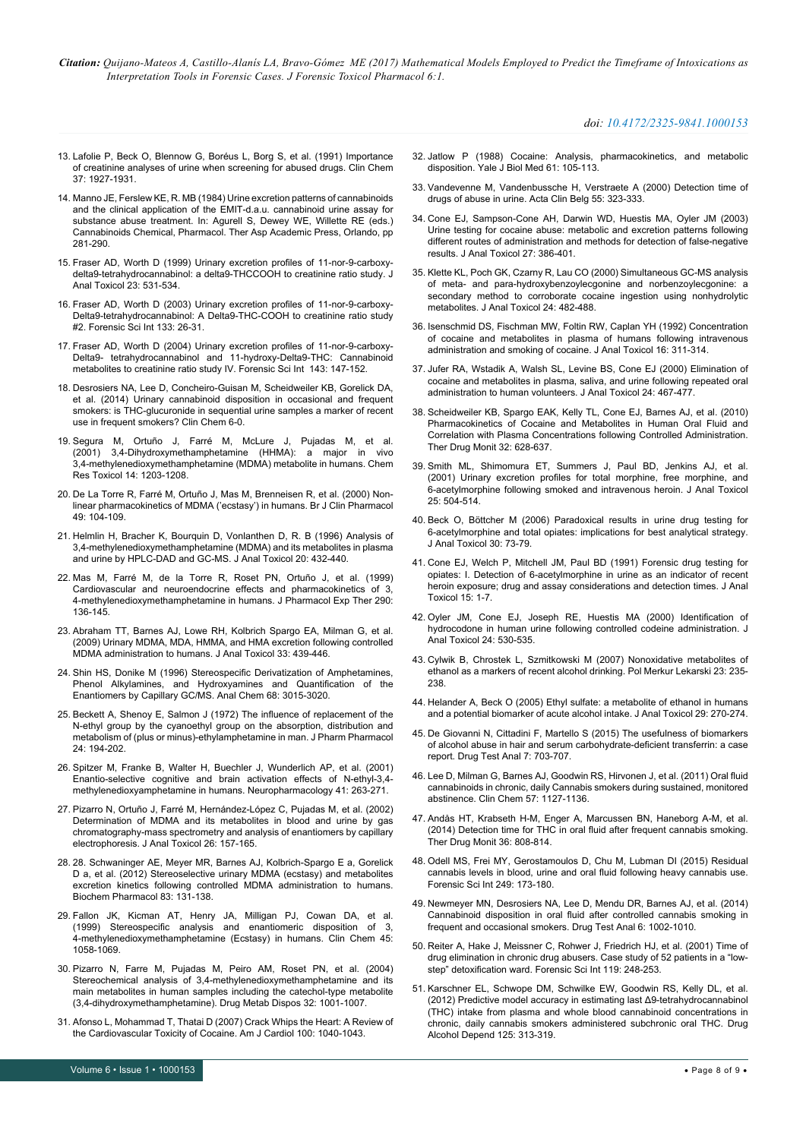### *doi: 10.4172/2325-9841.1000153*

- 13. [Lafolie P, Beck O, Blennow G, Boréus L, Borg S, et al. \(1991\) Importance](http://clinchem.aaccjnls.org/content/37/11/1927.long)  [of creatinine analyses of urine when screening for abused drugs. Clin Chem](http://clinchem.aaccjnls.org/content/37/11/1927.long)  [37: 1927-1931.](http://clinchem.aaccjnls.org/content/37/11/1927.long)
- <span id="page-7-0"></span>14. [Manno JE, Ferslew KE, R. MB \(1984\) Urine excretion patterns of cannabinoids](http://www.sciencedirect.com/science/book/9780120446209)  [and the clinical application of the EMIT-d.a.u. cannabinoid urine assay for](http://www.sciencedirect.com/science/book/9780120446209)  substance abuse treatment. In: Agurell S, Dewey WE, Willette RE (eds.) [Cannabinoids Chemical, Pharmacol. Ther Asp Academic Press, Orlando, pp](http://www.sciencedirect.com/science/book/9780120446209)  [281-290.](http://www.sciencedirect.com/science/book/9780120446209)
- <span id="page-7-1"></span>15. Fraser AD, Worth D (1999) Urinary excretion profiles of 11-nor-9-carboxydelta9-tetrahydrocannabinol: a delta9-THCCOOH to creatinine ratio study. J Anal Toxicol 23: 531-534.
- <span id="page-7-2"></span>16. [Fraser AD, Worth D \(2003\) Urinary excretion profiles of 11-nor-9-carboxy-](http://www.sciencedirect.com/science/article/pii/S037907380300046X?via%3Dihub)[Delta9-tetrahydrocannabinol: A Delta9-THC-COOH to creatinine ratio study](http://www.sciencedirect.com/science/article/pii/S037907380300046X?via%3Dihub)  [#2. Forensic Sci Int 133: 26-31.](http://www.sciencedirect.com/science/article/pii/S037907380300046X?via%3Dihub)
- <span id="page-7-3"></span>17. [Fraser AD, Worth D \(2004\) Urinary excretion profiles of 11-nor-9-carboxy-](http://www.sciencedirect.com/science/article/pii/S0379073804002099?via%3Dihub)[Delta9- tetrahydrocannabinol and 11-hydroxy-Delta9-THC: Cannabinoid](http://www.sciencedirect.com/science/article/pii/S0379073804002099?via%3Dihub)  [metabolites to creatinine ratio study IV. Forensic Sci Int 143: 147-152.](http://www.sciencedirect.com/science/article/pii/S0379073804002099?via%3Dihub)
- <span id="page-7-4"></span>18. [Desrosiers NA, Lee D, Concheiro-Guisan M, Scheidweiler KB, Gorelick DA,](http://clinchem.aaccjnls.org/content/60/2/361.long)  [et al. \(2014\) Urinary cannabinoid disposition in occasional and frequent](http://clinchem.aaccjnls.org/content/60/2/361.long)  [smokers: is THC-glucuronide in sequential urine samples a marker of recent](http://clinchem.aaccjnls.org/content/60/2/361.long)  [use in frequent smokers? Clin Chem 6-0.](http://clinchem.aaccjnls.org/content/60/2/361.long)
- <span id="page-7-5"></span>19. [Segura M, Ortuño J, Farré M, McLure J, Pujadas M, et al.](http://pubs.acs.org/doi/abs/10.1021/tx010051p)  [\(2001\) 3,4-Dihydroxymethamphetamine \(HHMA\): a major in vivo](http://pubs.acs.org/doi/abs/10.1021/tx010051p)  [3,4-methylenedioxymethamphetamine \(MDMA\) metabolite in humans. Chem](http://pubs.acs.org/doi/abs/10.1021/tx010051p)  [Res Toxicol 14: 1203-1208.](http://pubs.acs.org/doi/abs/10.1021/tx010051p)
- 20. [De La Torre R, Farré M, Ortuño J, Mas M, Brenneisen R, et al. \(2000\) Non](http://onlinelibrary.wiley.com/doi/10.1046/j.1365-2125.2000.00121.x/abstract)[linear pharmacokinetics of MDMA \('ecstasy'\) in humans. Br J Clin Pharmacol](http://onlinelibrary.wiley.com/doi/10.1046/j.1365-2125.2000.00121.x/abstract)  [49: 104-109.](http://onlinelibrary.wiley.com/doi/10.1046/j.1365-2125.2000.00121.x/abstract)
- <span id="page-7-6"></span>21. [Helmlin H, Bracher K, Bourquin D, Vonlanthen D, R. B \(1996\) Analysis of](https://oup.silverchair-cdn.com/oup/backfile/Content_public/Journal/jat/20/6/10.1093/jat/20.6.432/2/20-6-432.pdf?Expires=1500033843&Signature=M9e0mI7biC1IqneomvZZf2Aeb8RU4WqGZRzE2CbNxTyDsr92dgraVaXSkZlBkrjf1U73~7WpMwlRGjNJXXqLYNdDWUu0~v2olUFVjGWEKfvbxDtY1kMa2feSz0sJj3SjtekU4jclKV8Dgr6OptPzqGJMUMLVapRBwd63HEKjabY5HsMfyAqLmiYihmYYB~ZdHh8mjX49jlq9TNdLdHCV2cJlQXNZD662LmfrLvYOBdAzv78OnxN6ixAY6HL-1ki3FLdWKEP6Nmsp-Mcqdd~cNSl~Ec6rlT3KN5pcY92MeBYdxbecFwlyd7Rdr8ATyqn1EYU-EBP05iALXa-rVVLMOw__&Key-Pair-Id=APKAIUCZBIA4LFILENAME)  [3,4-methylenedioxymethamphetamine \(MDMA\) and its metabolites in plasma](https://oup.silverchair-cdn.com/oup/backfile/Content_public/Journal/jat/20/6/10.1093/jat/20.6.432/2/20-6-432.pdf?Expires=1500033843&Signature=M9e0mI7biC1IqneomvZZf2Aeb8RU4WqGZRzE2CbNxTyDsr92dgraVaXSkZlBkrjf1U73~7WpMwlRGjNJXXqLYNdDWUu0~v2olUFVjGWEKfvbxDtY1kMa2feSz0sJj3SjtekU4jclKV8Dgr6OptPzqGJMUMLVapRBwd63HEKjabY5HsMfyAqLmiYihmYYB~ZdHh8mjX49jlq9TNdLdHCV2cJlQXNZD662LmfrLvYOBdAzv78OnxN6ixAY6HL-1ki3FLdWKEP6Nmsp-Mcqdd~cNSl~Ec6rlT3KN5pcY92MeBYdxbecFwlyd7Rdr8ATyqn1EYU-EBP05iALXa-rVVLMOw__&Key-Pair-Id=APKAIUCZBIA4LFILENAME)  [and urine by HPLC-DAD and GC-MS. J Anal Toxicol 20: 432-440.](https://oup.silverchair-cdn.com/oup/backfile/Content_public/Journal/jat/20/6/10.1093/jat/20.6.432/2/20-6-432.pdf?Expires=1500033843&Signature=M9e0mI7biC1IqneomvZZf2Aeb8RU4WqGZRzE2CbNxTyDsr92dgraVaXSkZlBkrjf1U73~7WpMwlRGjNJXXqLYNdDWUu0~v2olUFVjGWEKfvbxDtY1kMa2feSz0sJj3SjtekU4jclKV8Dgr6OptPzqGJMUMLVapRBwd63HEKjabY5HsMfyAqLmiYihmYYB~ZdHh8mjX49jlq9TNdLdHCV2cJlQXNZD662LmfrLvYOBdAzv78OnxN6ixAY6HL-1ki3FLdWKEP6Nmsp-Mcqdd~cNSl~Ec6rlT3KN5pcY92MeBYdxbecFwlyd7Rdr8ATyqn1EYU-EBP05iALXa-rVVLMOw__&Key-Pair-Id=APKAIUCZBIA4LFILENAME)
- <span id="page-7-7"></span>22. [Mas M, Farré M, de la Torre R, Roset PN, Ortuño J, et al. \(1999\)](http://jpet.aspetjournals.org/cgi/pmidlookup?view=long&pmid=10381769)  [Cardiovascular and neuroendocrine effects and pharmacokinetics of 3,](http://jpet.aspetjournals.org/cgi/pmidlookup?view=long&pmid=10381769)  [4-methylenedioxymethamphetamine in humans. J Pharmacol Exp Ther 290:](http://jpet.aspetjournals.org/cgi/pmidlookup?view=long&pmid=10381769)  [136-145.](http://jpet.aspetjournals.org/cgi/pmidlookup?view=long&pmid=10381769)
- <span id="page-7-8"></span>23. [Abraham TT, Barnes AJ, Lowe RH, Kolbrich Spargo EA, Milman G, et al.](https://oup.silverchair-cdn.com/oup/backfile/Content_public/Journal/jat/33/8/10.1093/jat/33.8.439/2/33-8-439.pdf?Expires=1500033943&Signature=C~IsIxdQfXc~VsMp8XoNmDLJpCDQIhkO7si6J4mxfqQBfCeM9Vkf0gHqRlQezrlZ6AJGVicL0hi2XSFm~jh9pNUzpGkoJ96gPb7STYMi5bd5-1vMeKD6HQsj2RkYr-sD71Tu4vsyBxc-xKP1WsoJFve2IBjXYXFiOs7cWp4QTKXRxW0Wmr~g58qGrl5PhpuX2cK3AtXjxOieSB5r97PkWb229NN0DtwnO8fAeujfKNbGFKQzExoEyv1w6qtj0-wnv6hd~qf1urqym7RKTDs2Bv9YYyJNjUCpplrrVYSwORH02SIy1CYzDvKEJUQKXoMVIIdh2VX6aKd8nhQHZsLwww__&Key-Pair-Id=APKAIUCZBIA4LFILENAME)  [\(2009\) Urinary MDMA, MDA, HMMA, and HMA excretion following controlled](https://oup.silverchair-cdn.com/oup/backfile/Content_public/Journal/jat/33/8/10.1093/jat/33.8.439/2/33-8-439.pdf?Expires=1500033943&Signature=C~IsIxdQfXc~VsMp8XoNmDLJpCDQIhkO7si6J4mxfqQBfCeM9Vkf0gHqRlQezrlZ6AJGVicL0hi2XSFm~jh9pNUzpGkoJ96gPb7STYMi5bd5-1vMeKD6HQsj2RkYr-sD71Tu4vsyBxc-xKP1WsoJFve2IBjXYXFiOs7cWp4QTKXRxW0Wmr~g58qGrl5PhpuX2cK3AtXjxOieSB5r97PkWb229NN0DtwnO8fAeujfKNbGFKQzExoEyv1w6qtj0-wnv6hd~qf1urqym7RKTDs2Bv9YYyJNjUCpplrrVYSwORH02SIy1CYzDvKEJUQKXoMVIIdh2VX6aKd8nhQHZsLwww__&Key-Pair-Id=APKAIUCZBIA4LFILENAME)  [MDMA administration to humans. J Anal Toxicol 33: 439-446.](https://oup.silverchair-cdn.com/oup/backfile/Content_public/Journal/jat/33/8/10.1093/jat/33.8.439/2/33-8-439.pdf?Expires=1500033943&Signature=C~IsIxdQfXc~VsMp8XoNmDLJpCDQIhkO7si6J4mxfqQBfCeM9Vkf0gHqRlQezrlZ6AJGVicL0hi2XSFm~jh9pNUzpGkoJ96gPb7STYMi5bd5-1vMeKD6HQsj2RkYr-sD71Tu4vsyBxc-xKP1WsoJFve2IBjXYXFiOs7cWp4QTKXRxW0Wmr~g58qGrl5PhpuX2cK3AtXjxOieSB5r97PkWb229NN0DtwnO8fAeujfKNbGFKQzExoEyv1w6qtj0-wnv6hd~qf1urqym7RKTDs2Bv9YYyJNjUCpplrrVYSwORH02SIy1CYzDvKEJUQKXoMVIIdh2VX6aKd8nhQHZsLwww__&Key-Pair-Id=APKAIUCZBIA4LFILENAME)
- <span id="page-7-9"></span>24. [Shin HS, Donike M \(1996\) Stereospecific Derivatization of Amphetamines,](http://pubs.acs.org/doi/abs/10.1021/ac960365v)  [Phenol Alkylamines, and Hydroxyamines and Quantification of the](http://pubs.acs.org/doi/abs/10.1021/ac960365v)  [Enantiomers by Capillary GC/MS. Anal Chem 68: 3015-3020.](http://pubs.acs.org/doi/abs/10.1021/ac960365v)
- <span id="page-7-10"></span>25. [Beckett A, Shenoy E, Salmon J \(1972\) The influence of replacement of the](http://onlinelibrary.wiley.com/doi/10.1111/j.2042-7158.1972.tb08964.x/abstract)  [N-ethyl group by the cyanoethyl group on the absorption, distribution and](http://onlinelibrary.wiley.com/doi/10.1111/j.2042-7158.1972.tb08964.x/abstract)  [metabolism of \(plus or minus\)-ethylamphetamine in man. J Pharm Pharmacol](http://onlinelibrary.wiley.com/doi/10.1111/j.2042-7158.1972.tb08964.x/abstract)  [24: 194-202.](http://onlinelibrary.wiley.com/doi/10.1111/j.2042-7158.1972.tb08964.x/abstract)
- <span id="page-7-11"></span>26. [Spitzer M, Franke B, Walter H, Buechler J, Wunderlich AP, et al. \(2001\)](http://www.sciencedirect.com/science/article/pii/S0028390801000600?via%3Dihub)  [Enantio-selective cognitive and brain activation effects of N-ethyl-3,4](http://www.sciencedirect.com/science/article/pii/S0028390801000600?via%3Dihub) [methylenedioxyamphetamine in humans. Neuropharmacology 41: 263-271.](http://www.sciencedirect.com/science/article/pii/S0028390801000600?via%3Dihub)
- <span id="page-7-12"></span>27. [Pizarro N, Ortuño J, Farré M, Hernández-López C, Pujadas M, et al. \(2002\)](https://oup.silverchair-cdn.com/oup/backfile/Content_public/Journal/jat/26/3/10.1093/jat/26.3.157/2/26-3-157.pdf?Expires=1500034092&Signature=CjTe4ZtMGKFrbbFYJuAO2JGKYq3orTbfAjC7vn9TtA~pR9SLAZrUm~IwURKN15jydk2p3rWdmpBEYa0kGLxFmUyLF28ySsTslGYfJMycmcthHCcHh5vzmDIM0ES6EHJoaDOp1YobQ1IAfiROiBdKWgA~smCSimOd0ouwJCjZ7MVir2k-ZctTOR3Xoew-vXlr1A6pjVZxAvvgOVOShNl2zDLJO8NCXIYJXRSNVxFaNiMRIBRXZEhBAIrahtTgjMkSCwF9~F4XmS3JAtF3W2RC2EpeNSHY1TCpLb-Q23yXPbDP214TQA8gQ3CNj4Vt-FrzwbxdXwkumPaXmvxdH599fA__&Key-Pair-Id=APKAIUCZBIA4LFILENAME)  [Determination of MDMA and its metabolites in blood and urine by gas](https://oup.silverchair-cdn.com/oup/backfile/Content_public/Journal/jat/26/3/10.1093/jat/26.3.157/2/26-3-157.pdf?Expires=1500034092&Signature=CjTe4ZtMGKFrbbFYJuAO2JGKYq3orTbfAjC7vn9TtA~pR9SLAZrUm~IwURKN15jydk2p3rWdmpBEYa0kGLxFmUyLF28ySsTslGYfJMycmcthHCcHh5vzmDIM0ES6EHJoaDOp1YobQ1IAfiROiBdKWgA~smCSimOd0ouwJCjZ7MVir2k-ZctTOR3Xoew-vXlr1A6pjVZxAvvgOVOShNl2zDLJO8NCXIYJXRSNVxFaNiMRIBRXZEhBAIrahtTgjMkSCwF9~F4XmS3JAtF3W2RC2EpeNSHY1TCpLb-Q23yXPbDP214TQA8gQ3CNj4Vt-FrzwbxdXwkumPaXmvxdH599fA__&Key-Pair-Id=APKAIUCZBIA4LFILENAME)  [chromatography-mass spectrometry and analysis of enantiomers by capillary](https://oup.silverchair-cdn.com/oup/backfile/Content_public/Journal/jat/26/3/10.1093/jat/26.3.157/2/26-3-157.pdf?Expires=1500034092&Signature=CjTe4ZtMGKFrbbFYJuAO2JGKYq3orTbfAjC7vn9TtA~pR9SLAZrUm~IwURKN15jydk2p3rWdmpBEYa0kGLxFmUyLF28ySsTslGYfJMycmcthHCcHh5vzmDIM0ES6EHJoaDOp1YobQ1IAfiROiBdKWgA~smCSimOd0ouwJCjZ7MVir2k-ZctTOR3Xoew-vXlr1A6pjVZxAvvgOVOShNl2zDLJO8NCXIYJXRSNVxFaNiMRIBRXZEhBAIrahtTgjMkSCwF9~F4XmS3JAtF3W2RC2EpeNSHY1TCpLb-Q23yXPbDP214TQA8gQ3CNj4Vt-FrzwbxdXwkumPaXmvxdH599fA__&Key-Pair-Id=APKAIUCZBIA4LFILENAME)  [electrophoresis. J Anal Toxicol 26: 157-165.](https://oup.silverchair-cdn.com/oup/backfile/Content_public/Journal/jat/26/3/10.1093/jat/26.3.157/2/26-3-157.pdf?Expires=1500034092&Signature=CjTe4ZtMGKFrbbFYJuAO2JGKYq3orTbfAjC7vn9TtA~pR9SLAZrUm~IwURKN15jydk2p3rWdmpBEYa0kGLxFmUyLF28ySsTslGYfJMycmcthHCcHh5vzmDIM0ES6EHJoaDOp1YobQ1IAfiROiBdKWgA~smCSimOd0ouwJCjZ7MVir2k-ZctTOR3Xoew-vXlr1A6pjVZxAvvgOVOShNl2zDLJO8NCXIYJXRSNVxFaNiMRIBRXZEhBAIrahtTgjMkSCwF9~F4XmS3JAtF3W2RC2EpeNSHY1TCpLb-Q23yXPbDP214TQA8gQ3CNj4Vt-FrzwbxdXwkumPaXmvxdH599fA__&Key-Pair-Id=APKAIUCZBIA4LFILENAME)
- <span id="page-7-13"></span>28. 28. [Schwaninger AE, Meyer MR, Barnes AJ, Kolbrich-Spargo E a, Gorelick](http://www.sciencedirect.com/science/article/pii/S0006295211007039?via%3Dihub)  [D a, et al. \(2012\) Stereoselective urinary MDMA \(ecstasy\) and metabolites](http://www.sciencedirect.com/science/article/pii/S0006295211007039?via%3Dihub)  excretion kinetics following controlled MDMA administration to humans. [Biochem Pharmacol 83: 131-138.](http://www.sciencedirect.com/science/article/pii/S0006295211007039?via%3Dihub)
- <span id="page-7-14"></span>29. [Fallon JK, Kicman AT, Henry JA, Milligan PJ, Cowan DA, et al.](http://clinchem.aaccjnls.org/content/45/7/1058.long)  [\(1999\) Stereospecific analysis and enantiomeric disposition of 3,](http://clinchem.aaccjnls.org/content/45/7/1058.long)  [4-methylenedioxymethamphetamine \(Ecstasy\) in humans. Clin Chem 45:](http://clinchem.aaccjnls.org/content/45/7/1058.long)  [1058-1069.](http://clinchem.aaccjnls.org/content/45/7/1058.long)
- <span id="page-7-15"></span>30. [Pizarro N, Farre M, Pujadas M, Peiro AM, Roset PN, et al. \(2004\)](http://dmd.aspetjournals.org/cgi/pmidlookup?view=long&pmid=15319342)  [Stereochemical analysis of 3,4-methylenedioxymethamphetamine and its](http://dmd.aspetjournals.org/cgi/pmidlookup?view=long&pmid=15319342)  [main metabolites in human samples including the catechol-type metabolite](http://dmd.aspetjournals.org/cgi/pmidlookup?view=long&pmid=15319342)  [\(3,4-dihydroxymethamphetamine\). Drug Metab Dispos 32: 1001-1007.](http://dmd.aspetjournals.org/cgi/pmidlookup?view=long&pmid=15319342)
- <span id="page-7-16"></span>31. [Afonso L, Mohammad T, Thatai D \(2007\) Crack Whips the Heart: A Review of](http://www.ajconline.org/article/S0002-9149(07)01197-6/fulltext)  [the Cardiovascular Toxicity of Cocaine. Am J Cardiol 100: 1040-1043.](http://www.ajconline.org/article/S0002-9149(07)01197-6/fulltext)
- <span id="page-7-17"></span>32. [Jatlow P \(1988\) Cocaine: Analysis, pharmacokinetics, and metabolic](http://images.biomedsearch.com/3043924/yjbm00074-0007.pdf?AWSAccessKeyId=AKIAIBOKHYOLP4MBMRGQ&Expires=1500076800&Signature=rgQdyJaM804aiz2ARLHTVJUhmEo%3D)  [disposition. Yale J Biol Med 61: 105-113.](http://images.biomedsearch.com/3043924/yjbm00074-0007.pdf?AWSAccessKeyId=AKIAIBOKHYOLP4MBMRGQ&Expires=1500076800&Signature=rgQdyJaM804aiz2ARLHTVJUhmEo%3D)
- <span id="page-7-18"></span>33. [Vandevenne M, Vandenbussche H, Verstraete A \(2000\) Detection time of](https://www.transmedco.com/mm5/media/drug_detection_times_urine_saliva_blood.pdf)  [drugs of abuse in urine. Acta Clin Belg 55: 323-333.](https://www.transmedco.com/mm5/media/drug_detection_times_urine_saliva_blood.pdf)
- <span id="page-7-19"></span>34. [Cone EJ, Sampson-Cone AH, Darwin WD, Huestis MA, Oyler JM \(2003\)](https://pdfs.semanticscholar.org/b9b1/e936afef4f09529cc6f502bfd5f7f6b02765.pdf)  [Urine testing for cocaine abuse: metabolic and excretion patterns following](https://pdfs.semanticscholar.org/b9b1/e936afef4f09529cc6f502bfd5f7f6b02765.pdf)  [different routes of administration and methods for detection of false-negative](https://pdfs.semanticscholar.org/b9b1/e936afef4f09529cc6f502bfd5f7f6b02765.pdf)  [results. J Anal Toxicol 27: 386-401.](https://pdfs.semanticscholar.org/b9b1/e936afef4f09529cc6f502bfd5f7f6b02765.pdf)
- <span id="page-7-20"></span>35. [Klette KL, Poch GK, Czarny R, Lau CO \(2000\) Simultaneous GC-MS analysis](https://oup.silverchair-cdn.com/oup/backfile/Content_public/Journal/jat/24/7/10.1093/jat/24.7.482/2/24-7-482.pdf?Expires=1500034926&Signature=hGW~BK5y1zFY5YWohcbodvTb1QoAZO2sSpObSRMU~d0ZopIg-eQ703Qt-ImHqCx6obuAKk6hc-CPzur7NqjWdnfeknGn0t-TutSGmj0xMidQJHCS7w9dJHtnkQY~KKSBoqy5wk19x8sEo0XJyxZarLOJV3N1J3s0UQO4zxJQ4NXCGR2V4FVAA1XD9LCypnyXFaayShez3fCL2OYLTBgqqqDvFI3Yo4NBCBCrSzkNo8jNpyVZS-W~LUTPEkEe9ZMJ3ncbQ86E4yBm0kfOshCixZtAkml~t4kJMQgyCb8GM3O1Y6nfWaysb3xio7mtVYtojyXta82odfMa8r2Re~Ep7Q__&Key-Pair-Id=APKAIUCZBIA4LFILENAME)  [of meta- and para-hydroxybenzoylecgonine and norbenzoylecgonine: a](https://oup.silverchair-cdn.com/oup/backfile/Content_public/Journal/jat/24/7/10.1093/jat/24.7.482/2/24-7-482.pdf?Expires=1500034926&Signature=hGW~BK5y1zFY5YWohcbodvTb1QoAZO2sSpObSRMU~d0ZopIg-eQ703Qt-ImHqCx6obuAKk6hc-CPzur7NqjWdnfeknGn0t-TutSGmj0xMidQJHCS7w9dJHtnkQY~KKSBoqy5wk19x8sEo0XJyxZarLOJV3N1J3s0UQO4zxJQ4NXCGR2V4FVAA1XD9LCypnyXFaayShez3fCL2OYLTBgqqqDvFI3Yo4NBCBCrSzkNo8jNpyVZS-W~LUTPEkEe9ZMJ3ncbQ86E4yBm0kfOshCixZtAkml~t4kJMQgyCb8GM3O1Y6nfWaysb3xio7mtVYtojyXta82odfMa8r2Re~Ep7Q__&Key-Pair-Id=APKAIUCZBIA4LFILENAME)  [secondary method to corroborate cocaine ingestion using nonhydrolytic](https://oup.silverchair-cdn.com/oup/backfile/Content_public/Journal/jat/24/7/10.1093/jat/24.7.482/2/24-7-482.pdf?Expires=1500034926&Signature=hGW~BK5y1zFY5YWohcbodvTb1QoAZO2sSpObSRMU~d0ZopIg-eQ703Qt-ImHqCx6obuAKk6hc-CPzur7NqjWdnfeknGn0t-TutSGmj0xMidQJHCS7w9dJHtnkQY~KKSBoqy5wk19x8sEo0XJyxZarLOJV3N1J3s0UQO4zxJQ4NXCGR2V4FVAA1XD9LCypnyXFaayShez3fCL2OYLTBgqqqDvFI3Yo4NBCBCrSzkNo8jNpyVZS-W~LUTPEkEe9ZMJ3ncbQ86E4yBm0kfOshCixZtAkml~t4kJMQgyCb8GM3O1Y6nfWaysb3xio7mtVYtojyXta82odfMa8r2Re~Ep7Q__&Key-Pair-Id=APKAIUCZBIA4LFILENAME)  [metabolites. J Anal Toxicol 24: 482-488.](https://oup.silverchair-cdn.com/oup/backfile/Content_public/Journal/jat/24/7/10.1093/jat/24.7.482/2/24-7-482.pdf?Expires=1500034926&Signature=hGW~BK5y1zFY5YWohcbodvTb1QoAZO2sSpObSRMU~d0ZopIg-eQ703Qt-ImHqCx6obuAKk6hc-CPzur7NqjWdnfeknGn0t-TutSGmj0xMidQJHCS7w9dJHtnkQY~KKSBoqy5wk19x8sEo0XJyxZarLOJV3N1J3s0UQO4zxJQ4NXCGR2V4FVAA1XD9LCypnyXFaayShez3fCL2OYLTBgqqqDvFI3Yo4NBCBCrSzkNo8jNpyVZS-W~LUTPEkEe9ZMJ3ncbQ86E4yBm0kfOshCixZtAkml~t4kJMQgyCb8GM3O1Y6nfWaysb3xio7mtVYtojyXta82odfMa8r2Re~Ep7Q__&Key-Pair-Id=APKAIUCZBIA4LFILENAME)
- <span id="page-7-21"></span>36. [Isenschmid DS, Fischman MW, Foltin RW, Caplan YH \(1992\) Concentration](https://academic.oup.com/jat/article-abstract/16/5/311/797785/Concentration-of-Cocaine-and-Metabolites-in-Plasma?redirectedFrom=PDF)  [of cocaine and metabolites in plasma of humans following intravenous](https://academic.oup.com/jat/article-abstract/16/5/311/797785/Concentration-of-Cocaine-and-Metabolites-in-Plasma?redirectedFrom=PDF)  [administration and smoking of cocaine. J Anal Toxicol 16: 311-314.](https://academic.oup.com/jat/article-abstract/16/5/311/797785/Concentration-of-Cocaine-and-Metabolites-in-Plasma?redirectedFrom=PDF)
- <span id="page-7-22"></span>37. [Jufer RA, Wstadik A, Walsh SL, Levine BS, Cone EJ \(2000\) Elimination of](https://academic.oup.com/jat/article-lookup/doi/10.1093/jat/24.7.467)  [cocaine and metabolites in plasma, saliva, and urine following repeated oral](https://academic.oup.com/jat/article-lookup/doi/10.1093/jat/24.7.467)  [administration to human volunteers. J Anal Toxicol 24: 467-477.](https://academic.oup.com/jat/article-lookup/doi/10.1093/jat/24.7.467)
- <span id="page-7-23"></span>38. [Scheidweiler KB, Spargo EAK, Kelly TL, Cone EJ, Barnes AJ, et al. \(2010\)](http://pt.wkhealth.com/pt/re/lwwgateway/landingpage.htm;jsessionid=ZnLLV0L8dQ8v5Ghvhdy2dsfZvpDG07w0nBPwBJ4QsQmKbQ4NfbfG!721960586!181195628!8091!-1?sid=WKPTLP:landingpage&an=00007691-201010000-00014)  [Pharmacokinetics of Cocaine and Metabolites in Human Oral Fluid and](http://pt.wkhealth.com/pt/re/lwwgateway/landingpage.htm;jsessionid=ZnLLV0L8dQ8v5Ghvhdy2dsfZvpDG07w0nBPwBJ4QsQmKbQ4NfbfG!721960586!181195628!8091!-1?sid=WKPTLP:landingpage&an=00007691-201010000-00014)  [Correlation with Plasma Concentrations following Controlled Administration.](http://pt.wkhealth.com/pt/re/lwwgateway/landingpage.htm;jsessionid=ZnLLV0L8dQ8v5Ghvhdy2dsfZvpDG07w0nBPwBJ4QsQmKbQ4NfbfG!721960586!181195628!8091!-1?sid=WKPTLP:landingpage&an=00007691-201010000-00014)  [Ther Drug Monit 32: 628-637.](http://pt.wkhealth.com/pt/re/lwwgateway/landingpage.htm;jsessionid=ZnLLV0L8dQ8v5Ghvhdy2dsfZvpDG07w0nBPwBJ4QsQmKbQ4NfbfG!721960586!181195628!8091!-1?sid=WKPTLP:landingpage&an=00007691-201010000-00014)
- <span id="page-7-24"></span>39. [Smith ML, Shimomura ET, Summers J, Paul BD, Jenkins AJ, et al.](https://oup.silverchair-cdn.com/oup/backfile/Content_public/Journal/jat/25/7/10.1093/jat/25.7.504/2/25-7-504.pdf?Expires=1500035407&Signature=eJDzFfCKchaPuEIDgDXGvXHj~4Y~XoOuY9kTsfdJoaksHr~hm38qbYwaXAiDDCnlMBb2BBPQ2LsUZ1nHKfhiEywbYDIpmrJTkkI8jV4kX6~pQh3P-xHFFNezO2FOL6rRO37UxrZKNcTnb5xcYMcnJcsHRuipUchYbDzmuLnZ8EYMmv6mw9G-zosYkc-ocuRxdh7V-iwi-EwCRqlfdS25ecJ8Zx~q4U7nx~qsjTMO8ri7XynwIw3WZRpr7YUapH4Fc13RyzM6cNTMXvuJr8KZfxQYL~YS6s6zLjTBZpSt9v1eb7qnuo3bV7ItntQ6Q54uYEvuAWObZQpj4Qsb1V-yiQ__&Key-Pair-Id=APKAIUCZBIA4LFILENAME)  [\(2001\) Urinary excretion profiles for total morphine, free morphine, and](https://oup.silverchair-cdn.com/oup/backfile/Content_public/Journal/jat/25/7/10.1093/jat/25.7.504/2/25-7-504.pdf?Expires=1500035407&Signature=eJDzFfCKchaPuEIDgDXGvXHj~4Y~XoOuY9kTsfdJoaksHr~hm38qbYwaXAiDDCnlMBb2BBPQ2LsUZ1nHKfhiEywbYDIpmrJTkkI8jV4kX6~pQh3P-xHFFNezO2FOL6rRO37UxrZKNcTnb5xcYMcnJcsHRuipUchYbDzmuLnZ8EYMmv6mw9G-zosYkc-ocuRxdh7V-iwi-EwCRqlfdS25ecJ8Zx~q4U7nx~qsjTMO8ri7XynwIw3WZRpr7YUapH4Fc13RyzM6cNTMXvuJr8KZfxQYL~YS6s6zLjTBZpSt9v1eb7qnuo3bV7ItntQ6Q54uYEvuAWObZQpj4Qsb1V-yiQ__&Key-Pair-Id=APKAIUCZBIA4LFILENAME)  [6-acetylmorphine following smoked and intravenous heroin. J Anal Toxicol](https://oup.silverchair-cdn.com/oup/backfile/Content_public/Journal/jat/25/7/10.1093/jat/25.7.504/2/25-7-504.pdf?Expires=1500035407&Signature=eJDzFfCKchaPuEIDgDXGvXHj~4Y~XoOuY9kTsfdJoaksHr~hm38qbYwaXAiDDCnlMBb2BBPQ2LsUZ1nHKfhiEywbYDIpmrJTkkI8jV4kX6~pQh3P-xHFFNezO2FOL6rRO37UxrZKNcTnb5xcYMcnJcsHRuipUchYbDzmuLnZ8EYMmv6mw9G-zosYkc-ocuRxdh7V-iwi-EwCRqlfdS25ecJ8Zx~q4U7nx~qsjTMO8ri7XynwIw3WZRpr7YUapH4Fc13RyzM6cNTMXvuJr8KZfxQYL~YS6s6zLjTBZpSt9v1eb7qnuo3bV7ItntQ6Q54uYEvuAWObZQpj4Qsb1V-yiQ__&Key-Pair-Id=APKAIUCZBIA4LFILENAME)  [25: 504-514.](https://oup.silverchair-cdn.com/oup/backfile/Content_public/Journal/jat/25/7/10.1093/jat/25.7.504/2/25-7-504.pdf?Expires=1500035407&Signature=eJDzFfCKchaPuEIDgDXGvXHj~4Y~XoOuY9kTsfdJoaksHr~hm38qbYwaXAiDDCnlMBb2BBPQ2LsUZ1nHKfhiEywbYDIpmrJTkkI8jV4kX6~pQh3P-xHFFNezO2FOL6rRO37UxrZKNcTnb5xcYMcnJcsHRuipUchYbDzmuLnZ8EYMmv6mw9G-zosYkc-ocuRxdh7V-iwi-EwCRqlfdS25ecJ8Zx~q4U7nx~qsjTMO8ri7XynwIw3WZRpr7YUapH4Fc13RyzM6cNTMXvuJr8KZfxQYL~YS6s6zLjTBZpSt9v1eb7qnuo3bV7ItntQ6Q54uYEvuAWObZQpj4Qsb1V-yiQ__&Key-Pair-Id=APKAIUCZBIA4LFILENAME)
- <span id="page-7-25"></span>40. [Beck O, Böttcher M \(2006\) Paradoxical results in urine drug testing for](https://academic.oup.com/jat/article/30/2/73/725988/Paradoxical-Results-in-Urine-Drug-Testing-for-6)  [6-acetylmorphine and total opiates: implications for best analytical strategy.](https://academic.oup.com/jat/article/30/2/73/725988/Paradoxical-Results-in-Urine-Drug-Testing-for-6)  [J Anal Toxicol 30: 73-79.](https://academic.oup.com/jat/article/30/2/73/725988/Paradoxical-Results-in-Urine-Drug-Testing-for-6)
- <span id="page-7-26"></span>41. Cone EJ, Welch P, Mitchell JM, Paul BD (1991) Forensic drug testing for opiates: I. Detection of 6-acetylmorphine in urine as an indicator of recent heroin exposure; drug and assay considerations and detection times. J Anal Toxicol 15: 1-7.
- <span id="page-7-27"></span>42. [Oyler JM, Cone EJ, Joseph RE, Huestis MA \(2000\) Identification of](https://oup.silverchair-cdn.com/oup/backfile/Content_public/Journal/jat/24/7/10.1093/jat/24.7.530/2/24-7-530.pdf?Expires=1500037733&Signature=Sd0Kl2t6c9w3LB-NVyPEHlGjVD7grOHYdQZiSIKnolmYt0cgQmZ40dHxbUTkpnkQalp3xIZof7QfwlhosbI9zxw3gjk4RmDHO9Sl5OZ993sCMpk5S93BAGzUDv9Tmo985Mvh8B65-PHghvjVPU4dxM5TtgKgw9LVMo1R7aiNnq3rVetHQuJmlzH8KgqVtMePKw09YtqzFIwxVE-SBqAyVVGRNir76JorNAfodH0k51hAUlLGm8-BzZqqyEL1QUSRCirQhDyZGH5E6Kya3ffp0-zMbdlNS74w-YOEpaDl2bZ2pc92-XumOJQzE57dV7ChNbd6A~CLnIr4SFLEdPuFUg__&Key-Pair-Id=APKAIUCZBIA4LFILENAME)  [hydrocodone in human urine following controlled codeine administration. J](https://oup.silverchair-cdn.com/oup/backfile/Content_public/Journal/jat/24/7/10.1093/jat/24.7.530/2/24-7-530.pdf?Expires=1500037733&Signature=Sd0Kl2t6c9w3LB-NVyPEHlGjVD7grOHYdQZiSIKnolmYt0cgQmZ40dHxbUTkpnkQalp3xIZof7QfwlhosbI9zxw3gjk4RmDHO9Sl5OZ993sCMpk5S93BAGzUDv9Tmo985Mvh8B65-PHghvjVPU4dxM5TtgKgw9LVMo1R7aiNnq3rVetHQuJmlzH8KgqVtMePKw09YtqzFIwxVE-SBqAyVVGRNir76JorNAfodH0k51hAUlLGm8-BzZqqyEL1QUSRCirQhDyZGH5E6Kya3ffp0-zMbdlNS74w-YOEpaDl2bZ2pc92-XumOJQzE57dV7ChNbd6A~CLnIr4SFLEdPuFUg__&Key-Pair-Id=APKAIUCZBIA4LFILENAME)  [Anal Toxicol 24: 530-535.](https://oup.silverchair-cdn.com/oup/backfile/Content_public/Journal/jat/24/7/10.1093/jat/24.7.530/2/24-7-530.pdf?Expires=1500037733&Signature=Sd0Kl2t6c9w3LB-NVyPEHlGjVD7grOHYdQZiSIKnolmYt0cgQmZ40dHxbUTkpnkQalp3xIZof7QfwlhosbI9zxw3gjk4RmDHO9Sl5OZ993sCMpk5S93BAGzUDv9Tmo985Mvh8B65-PHghvjVPU4dxM5TtgKgw9LVMo1R7aiNnq3rVetHQuJmlzH8KgqVtMePKw09YtqzFIwxVE-SBqAyVVGRNir76JorNAfodH0k51hAUlLGm8-BzZqqyEL1QUSRCirQhDyZGH5E6Kya3ffp0-zMbdlNS74w-YOEpaDl2bZ2pc92-XumOJQzE57dV7ChNbd6A~CLnIr4SFLEdPuFUg__&Key-Pair-Id=APKAIUCZBIA4LFILENAME)
- <span id="page-7-28"></span>43. Cylwik B, Chrostek L, Szmitkowski M (2007) Nonoxidative metabolites of ethanol as a markers of recent alcohol drinking. Pol Merkur Lekarski 23: 235- 238.
- <span id="page-7-29"></span>44. [Helander A, Beck O \(2005\) Ethyl sulfate: a metabolite of ethanol in humans](https://pdfs.semanticscholar.org/0b54/fb804632e93d716e9361e829c7bf92717802.pdf)  [and a potential biomarker of acute alcohol intake. J Anal Toxicol 29: 270-274.](https://pdfs.semanticscholar.org/0b54/fb804632e93d716e9361e829c7bf92717802.pdf)
- <span id="page-7-30"></span>45. [De Giovanni N, Cittadini F, Martello S \(2015\) The usefulness of biomarkers](http://onlinelibrary.wiley.com/doi/10.1002/dta.1763/abstract)  [of alcohol abuse in hair and serum carbohydrate-deficient transferrin: a case](http://onlinelibrary.wiley.com/doi/10.1002/dta.1763/abstract)  [report. Drug Test Anal 7: 703-707.](http://onlinelibrary.wiley.com/doi/10.1002/dta.1763/abstract)
- <span id="page-7-31"></span>46. [Lee D, Milman G, Barnes AJ, Goodwin RS, Hirvonen J, et al. \(2011\) Oral fluid](http://clinchem.aaccjnls.org/content/57/8/1127.long)  [cannabinoids in chronic, daily Cannabis smokers during sustained, monitored](http://clinchem.aaccjnls.org/content/57/8/1127.long)  [abstinence. Clin Chem 57: 1127-1136.](http://clinchem.aaccjnls.org/content/57/8/1127.long)
- 47. [Andås HT, Krabseth H-M, Enger A, Marcussen BN, Haneborg A-M, et al.](http://journals.lww.com/drug-monitoring/Abstract/2014/12000/Detection_Time_for_THC_in_Oral_Fluid_After.19.aspx)  [\(2014\) Detection time for THC in oral fluid after frequent cannabis smoking.](http://journals.lww.com/drug-monitoring/Abstract/2014/12000/Detection_Time_for_THC_in_Oral_Fluid_After.19.aspx)  [Ther Drug Monit 36: 808-814.](http://journals.lww.com/drug-monitoring/Abstract/2014/12000/Detection_Time_for_THC_in_Oral_Fluid_After.19.aspx)
- <span id="page-7-32"></span>48. [Odell MS, Frei MY, Gerostamoulos D, Chu M, Lubman DI \(2015\) Residual](https://linkinghub.elsevier.com/retrieve/pii/S0379-0738(15)00040-7)  [cannabis levels in blood, urine and oral fluid following heavy cannabis use.](https://linkinghub.elsevier.com/retrieve/pii/S0379-0738(15)00040-7)  [Forensic Sci Int 249: 173-180.](https://linkinghub.elsevier.com/retrieve/pii/S0379-0738(15)00040-7)
- 49. [Newmeyer MN, Desrosiers NA, Lee D, Mendu DR, Barnes AJ, et al. \(2014\)](http://onlinelibrary.wiley.com/doi/10.1002/dta.1632/abstract)  [Cannabinoid disposition in oral fluid after controlled cannabis smoking in](http://onlinelibrary.wiley.com/doi/10.1002/dta.1632/abstract)  [frequent and occasional smokers. Drug Test Anal 6: 1002-1010.](http://onlinelibrary.wiley.com/doi/10.1002/dta.1632/abstract)
- <span id="page-7-33"></span>50. [Reiter A, Hake J, Meissner C, Rohwer J, Friedrich HJ, et al. \(2001\) Time of](http://www.sciencedirect.com/science/article/pii/S0379073800004370?via%3Dihub)  [drug elimination in chronic drug abusers. Case study of 52 patients in a "low](http://www.sciencedirect.com/science/article/pii/S0379073800004370?via%3Dihub)[step" detoxification ward. Forensic Sci Int 119: 248-253.](http://www.sciencedirect.com/science/article/pii/S0379073800004370?via%3Dihub)
- <span id="page-7-34"></span>51. [Karschner EL, Schwope DM, Schwilke EW, Goodwin RS, Kelly DL, et al.](http://onlinelibrary.wiley.com/doi/10.1111/j.1360-0443.2009.02705.x/abstract)  [\(2012\) Predictive model accuracy in estimating last Δ](http://onlinelibrary.wiley.com/doi/10.1111/j.1360-0443.2009.02705.x/abstract)9-tetrahydrocannabinol [\(THC\) intake from plasma and whole blood cannabinoid concentrations in](http://onlinelibrary.wiley.com/doi/10.1111/j.1360-0443.2009.02705.x/abstract)  [chronic, daily cannabis smokers administered subchronic oral THC. Drug](http://onlinelibrary.wiley.com/doi/10.1111/j.1360-0443.2009.02705.x/abstract)  [Alcohol Depend 125: 313-319.](http://onlinelibrary.wiley.com/doi/10.1111/j.1360-0443.2009.02705.x/abstract)